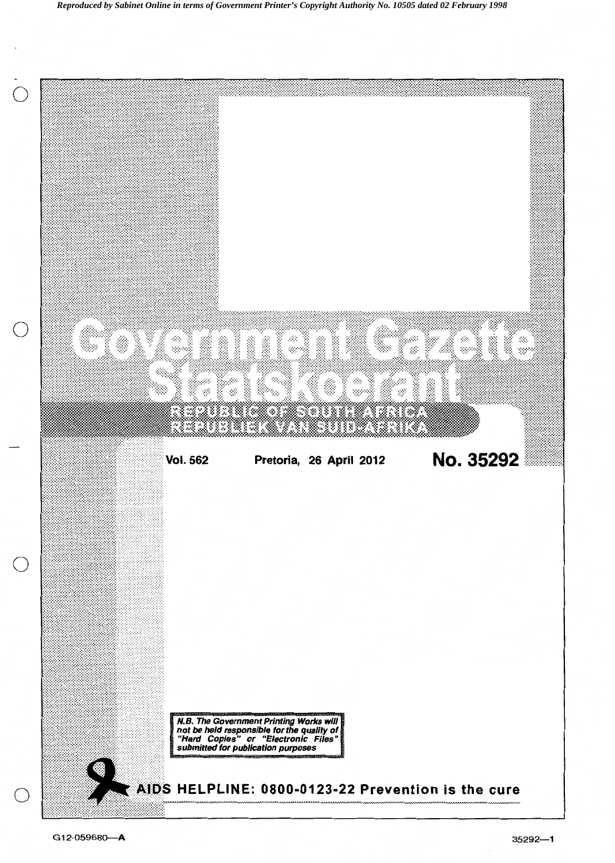*Reproduced by Sabinet Online in terms of Government Printer's Copyright Authority No. 10505 dated 02 February 1998* 

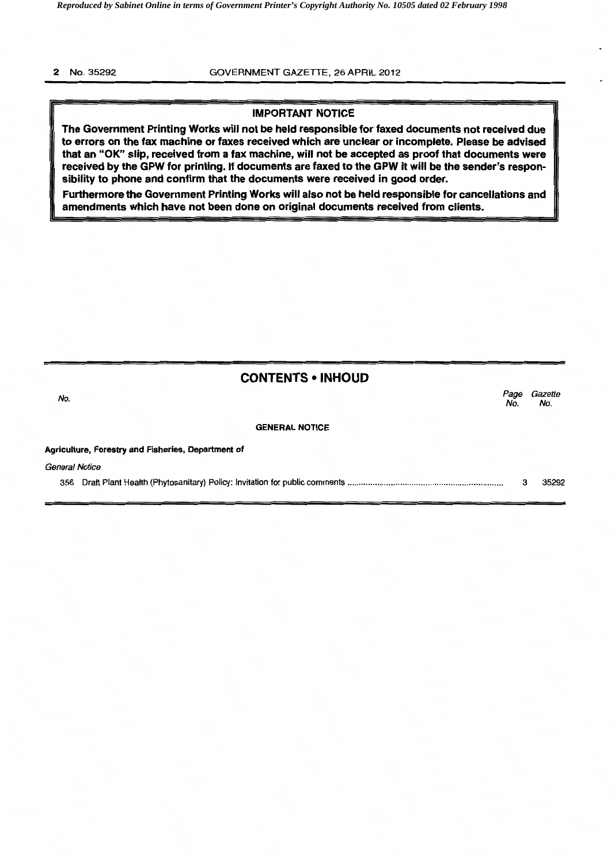#### IMPORTANT NOTICE

The Government Printing Works will not be held responsible for faxed documents not received due to errors on the fax machine or faxes received which are unclear or incomplete. Please be advised that an "OK" slip, received from a fax machine, will not be accepted as proof that documents were received by the GPW for printing. If documents are faxed to the GPW it will be the sender's responsibility to phone and confirm that the documents were received in good order.

Furthermore the Government Printing Works will also not be held responsible for cancellations and amendments which have not been done on original documents received from clients.

|                | <b>CONTENTS • INHOUD</b>                           |             |                |
|----------------|----------------------------------------------------|-------------|----------------|
| No.            |                                                    | Page<br>No. | Gazette<br>No. |
|                | <b>GENERAL NOTICE</b>                              |             |                |
|                | Agriculture, Forestry and Fisheries, Department of |             |                |
| General Notice |                                                    |             |                |
|                |                                                    | з           | 35292          |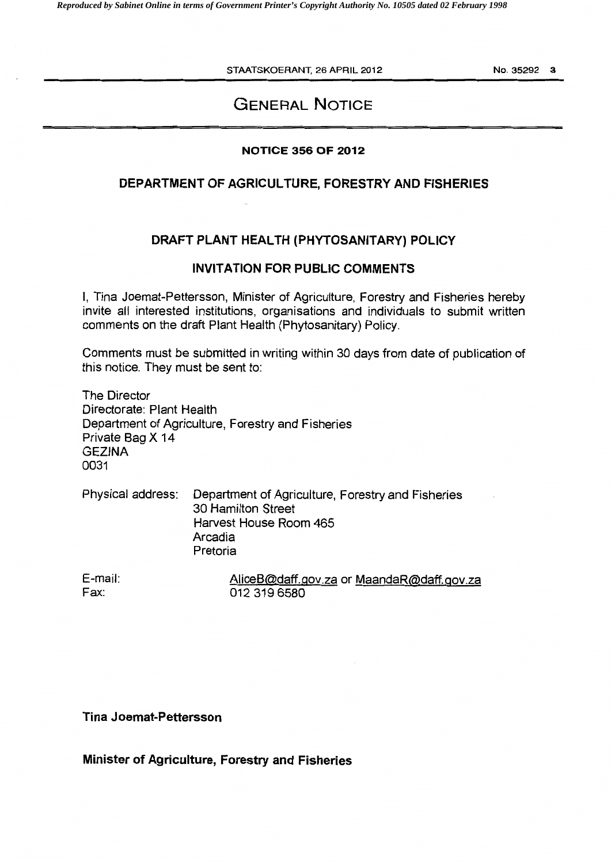*Reproduced by Sabinet Online in terms of Government Printer's Copyright Authority No. 10505 dated 02 February 1998* 

STAATSKOERANT, 26 APRIL 2012

No.35292 3

# GENERAL NOTICE

# NOTICE 356 OF 2012

# DEPARTMENT OF AGRICULTURE, FORESTRY AND FISHERIES

# DRAFT PLANT HEALTH (PHYTOSANITARY) POLICY

# INVITATION FOR PUBLIC COMMENTS

I, Tina Joemat-Pettersson, Minister of Agriculture, Forestry and Fisheries hereby invite all interested institutions, organisations and individuals to submit written comments on the draft Plant Health (Phytosanitary) Policy.

Comments must be submitted in writing within 30 days from date of publication of this notice. They must be sent to:

The Director Directorate: Plant Health Department of Agriculture, Forestry and Fisheries Private Bag X 14 GEZINA 0031

Physical address: Department of Agriculture, Forestry and Fisheries 30 Hamilton Street Harvest House Room 465 Arcadia Pretoria

E-mail: AliceB@daff.gov.za or MaandaR@daff.gov.za 012 319 6580

Tina Joemat-Pettersson

Minister of Agriculture, Forestry and Fisheries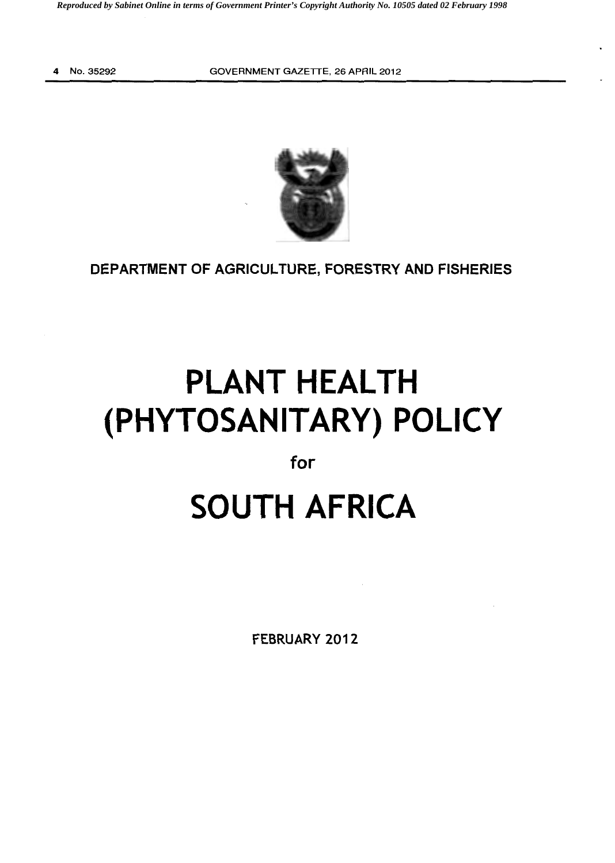*Reproduced by Sabinet Online in terms of Government Printer's Copyright Authority No. 10505 dated 02 February 1998* 



DEPARTMENT OF AGRICULTURE, FORESTRY AND FISHERIES

# PLANT HEALTH (PHYTOSANITARY) POLICY

for

# SOUTH AFRICA

FEBRUARY 2012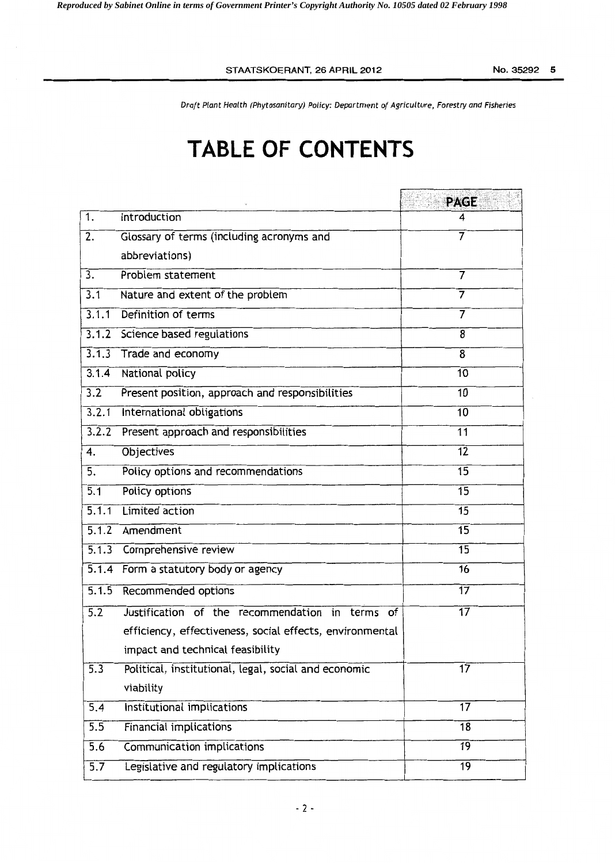Draft Plant Health (Phytosanitary) Policy: Department of Agriculture, Forestry and Fisheries

# **TABLE OF CONTENTS**

|                    |                                                          | <b>PAGE</b>     |
|--------------------|----------------------------------------------------------|-----------------|
| $\overline{1}$ .   | Introduction                                             |                 |
| 2.                 | Glossary of terms (including acronyms and                | 7               |
|                    | abbreviations)                                           |                 |
| $\overline{3}$ .   | Problem statement                                        | 7               |
| 3.1                | Nature and extent of the problem                         | 7               |
| 3.1.1              | Definition of terms                                      | 7               |
| 3.1.2              | Science based regulations                                | $\overline{8}$  |
| 3.1.3              | Trade and economy                                        | $\overline{8}$  |
| 3.1.4              | National policy                                          | $\overline{10}$ |
| $\overline{3.2}$   | Present position, approach and responsibilities          | $\overline{10}$ |
| 3.2.1              | International obligations                                | 10              |
| 3.2.2              | Present approach and responsibilities                    | 11              |
| 4.                 | Objectives                                               | $\overline{12}$ |
| 5.                 | Policy options and recommendations                       | $\overline{15}$ |
| 5.1                | Policy options                                           | $\overline{15}$ |
| 5.1.1              | Limited action                                           | 15              |
| 5.1.2              | Amendment                                                | $\overline{15}$ |
| 5.1.3              | Comprehensive review                                     | $\overline{15}$ |
| $\overline{5.1.4}$ | Form a statutory body or agency                          | 16              |
| 5.1.5              | Recommended options                                      | $\overline{17}$ |
| $\overline{5.2}$   | Justification of the recommendation in terms<br>of       | $\overline{17}$ |
|                    | efficiency, effectiveness, social effects, environmental |                 |
|                    | impact and technical feasibility                         |                 |
| $5.\overline{3}$   | Political, institutional, legal, social and economic     | $\overline{17}$ |
|                    | viability                                                |                 |
| 5.4                | Institutional implications                               | $\overline{17}$ |
| 5.5                | <b>Financial implications</b>                            | 18              |
| $\overline{5.6}$   | Communication implications                               | 19              |
| $\overline{5.7}$   | Legislative and regulatory implications                  | $\overline{19}$ |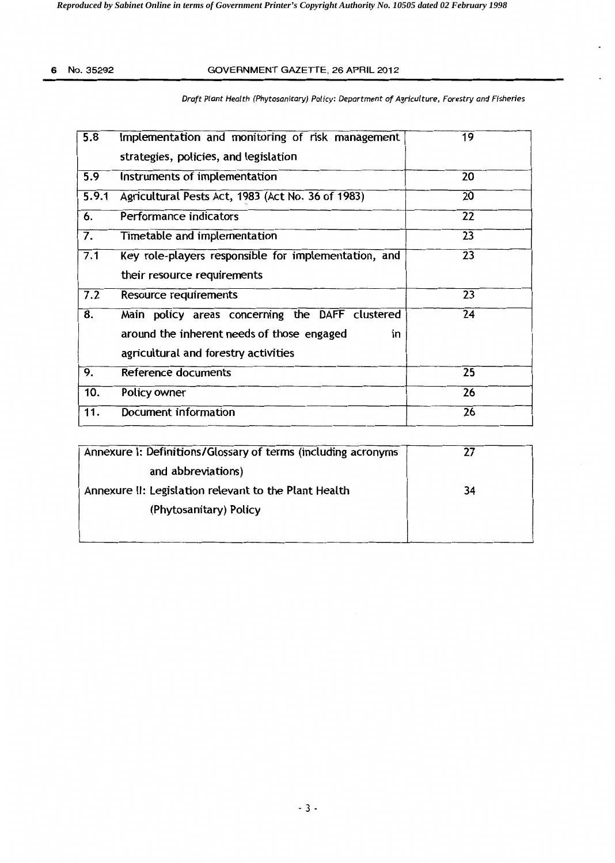#### *Draft Plant Health (Phytosanitary) Policy: Department of Agriculture, Forestry and Fisheries*

| 5.8   | Implementation and monitoring of risk management<br>strategies, policies, and legislation | $\overline{19}$ |
|-------|-------------------------------------------------------------------------------------------|-----------------|
|       |                                                                                           |                 |
| 5.9   | Instruments of implementation                                                             | 20              |
| 5.9.1 | Agricultural Pests Act, 1983 (Act No. 36 of 1983)                                         | 20              |
| 6.    | Performance indicators                                                                    | 22              |
| 7.    | Timetable and implementation                                                              | 23              |
| 7.1   | Key role-players responsible for implementation, and                                      | 23              |
|       | their resource requirements                                                               |                 |
| 7.2   | Resource requirements                                                                     | 23              |
| 8.    | Main policy areas concerning the DAFF clustered                                           | 24              |
|       | around the inherent needs of those engaged<br>in                                          |                 |
|       | agricultural and forestry activities                                                      |                 |
| 9.    | Reference documents                                                                       | 25              |
| 10.   | Policy owner                                                                              | 26              |
| 11.   | Document information                                                                      | 26              |

| Annexure I: Definitions/Glossary of terms (including acronyms | 27 |
|---------------------------------------------------------------|----|
| and abbreviations)                                            |    |
| Annexure II: Legislation relevant to the Plant Health         | 34 |
| (Phytosanitary) Policy                                        |    |
|                                                               |    |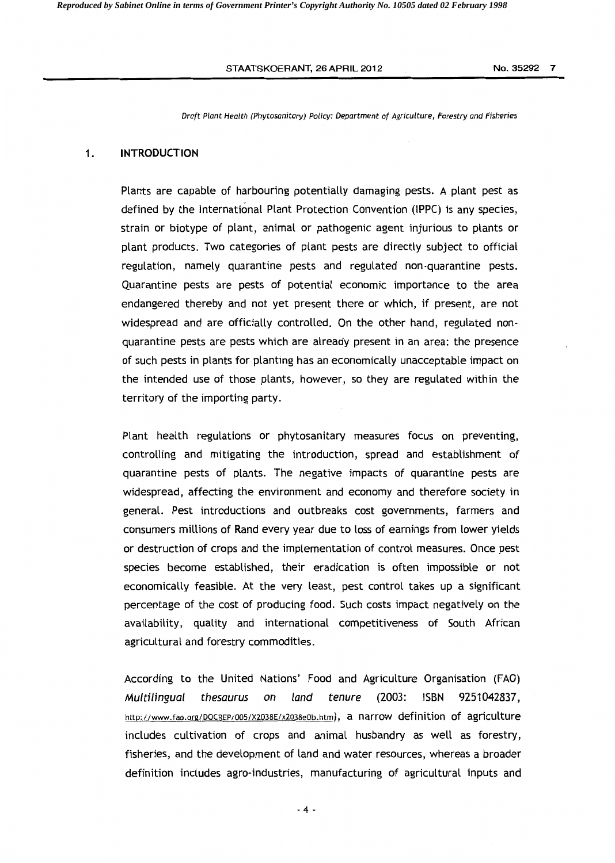STAATSKOERANT, 26 APRIL 2012 No.35292 **7** 

Draft Plant Health (Phytosanitary) Policy: Department of Agriculture, Forestry and Fisheries

#### **1. INTRODUCTION**

Plants are capable of harbouring potentially damaging pests. A plant pest as defined by the International Plant Protection Convention (IPPC) is any species, strain or biotype of plant, animal or pathogenic agent injurious to plants or plant products. Two categories of plant pests are directly subject to official regulation, namely quarantine pests and regulated non-quarantine pests. Quarantine pests are pests of potential economic importance to the area endangered thereby and not yet present there or which, if present, are not widespread and are officially controlled. On the other hand, regulated nonquarantine pests are pests which are already present in an area: the presence of such pests in plants for planting has an economically unacceptable impact on the intended use of those plants, however, so they are regulated within the territory of the importing party.

Plant health regulations or phytosanitary measures focus on preventing, controlling and mitigating the introduction, spread and establishment of quarantine pests of plants. The negative impacts of quarantine pests are widespread, affecting the environment and economy and therefore society in general. Pest introductions and outbreaks cost governments, farmers and consumers millions of Rand every year due to loss of earnings from lower yields or destruction of crops and the implementation of control measures. Once pest species become established, their eradication is often impossible or not economically feasible. At the very least, pest control takes up a significant percentage of the cost of producing food. Such costs impact negatively on the availability, quality and international competitiveness of South African agricultural and forestry commodities.

According to the United Nations' Food and Agriculture Organisation (FAO) Multilingual thesaurus on land tenure (2003: ISBN 9251042837, http://www.fao.org/DOCREP/005/X2038E/x2038e0b.htm), a narrow definition of agriculture includes cultivation of crops and animal husbandry as well as forestry, fisheries, and the development of land and water resources, whereas a broader definition includes agro-industries, manufacturing of agricultural inputs and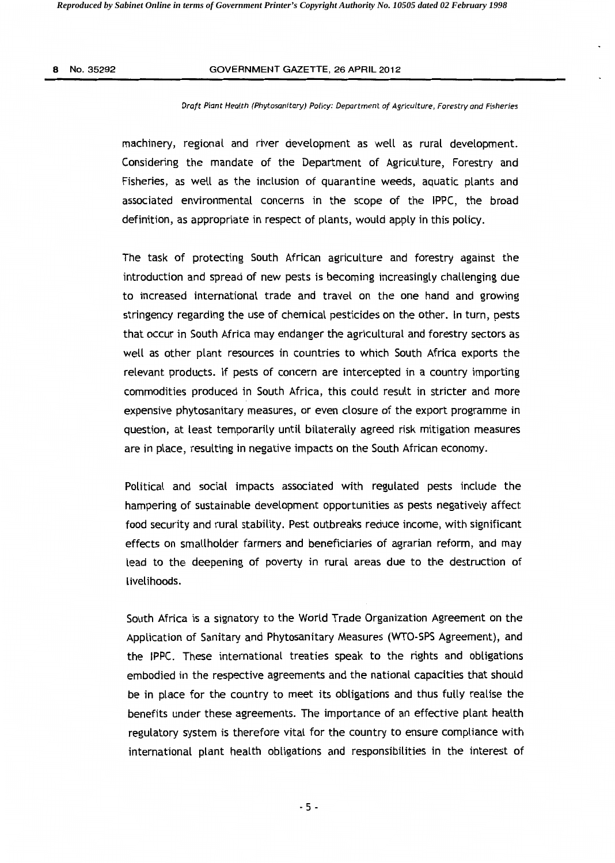#### Draft Plant Health (Phytosanitary) Policy: Department of Agriculture, Forestry and Fisheries

machinery, regional and river development as well as rural development. Considering the mandate of the Department of Agriculture, Forestry and Fisheries, as well as the inclusion of quarantine weeds, aquatic plants and associated environmental concerns in the scope of the IPPC, the broad definition, as appropriate in respect of plants, would apply in this policy.

The task of protecting South African agriculture and forestry against the introduction and spread of new pests is becoming increasingly challenging due to increased international trade and travel on the one hand and growing stringency regarding the use of chemical pesticides on the other. In turn, pests that occur in South Africa may endanger the agricultural and forestry sectors as well as other plant resources in countries to which South Africa exports the relevant products. If pests of concern are intercepted in a country importing commodities produced in South Africa, this could result in stricter and more expensive phytosanitary measures, or even closure of the export programme in question, at least temporarily until bilaterally agreed risk mitigation measures are in place, resulting in negative impacts on the South African economy.

Political and social impacts associated with regulated pests include the hampering of sustainable development opportunities as pests negatively affect food security and rural stability. Pest outbreaks reduce income, with significant effects on smallholder farmers and beneficiaries of agrarian reform, and may lead to the deepening of poverty in rural areas due to the destruction of livelihoods.

South Africa is a signatory to the World Trade Organization Agreement on the Application of Sanitary and Phytosanitary Measures (WTO-SPS Agreement), and the IPPC. These international treaties speak to the rights and obligations embodied in the respective agreements and the national capacities that should be in place for the country to meet its obligations and thus fully realise the benefits under these agreements. The importance of an effective plant health regulatory system is therefore vital for the country to ensure compliance with international plant health obligations and responsibilities in the interest of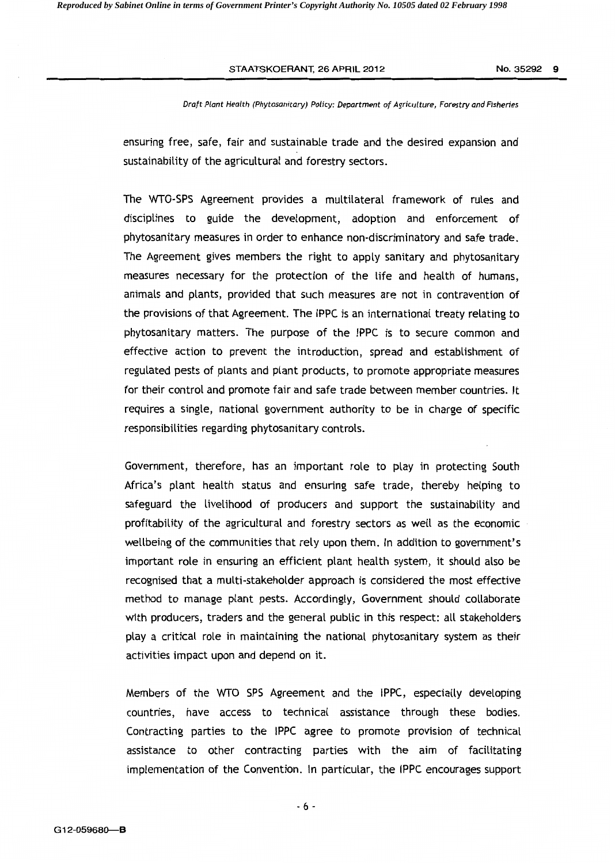STAATSKOERANT, 26 APRIL 2012 12 No. 35292 9

Draft Plant Health (Phytosanitary) Policy: Department of Agriculture, Forestry and Fisheries

ensuring free, safe, fair and sustainable trade and the desired expansion and sustainability of the agricultural and forestry sectors.

The WTO-SPS Agreement provides a multilateral framework of rules and disciplines to guide the development, adoption and enforcement of phytosanitary measures in order to enhance non-discriminatory and safe trade. The Agreement gives members the right to apply sanitary and phytosanitary measures necessary for the protection of the life and health of humans, animals and plants, provided that such measures are not in contravention of the provisions of that Agreement. The IPPC is an international treaty relating to phytosanitary matters. The purpose of the IPPC is to secure common and effective action to prevent the introduction, spread and establishment of regulated pests of plants and plant products, to promote appropriate measures for their control and promote fair and safe trade between member countries. It requires a single, national government authority to be in charge of specific responsibilities regarding phytosanitary controls.

Government, therefore, has an important role to play in protecting South Africa's plant health status and ensuring safe trade, thereby helping to safeguard the livelihood of producers and support the sustainability and profitability of the agricultural and forestry sectors as well as the economic wellbeing of the communities that rely upon them. In addition to government's important role in ensuring an efficient plant health system, it should also be recognised that a multi-stakeholder approach is considered the most effective method to manage plant pests. Accordingly, Government should collaborate with producers, traders and the general public in this respect: all stakeholders play a critical role in maintaining the national phytosanitary system as their activities impact upon and depend on it.

Members of the WTO SPS Agreement and the IPPC, especially developing countries, have access to technical assistance through these bodies. Contracting parties to the IPPC agree to promote provision of technical assistance to other contracting parties with the aim of facilitating implementation of the Convention. In particular, the IPPC encourages support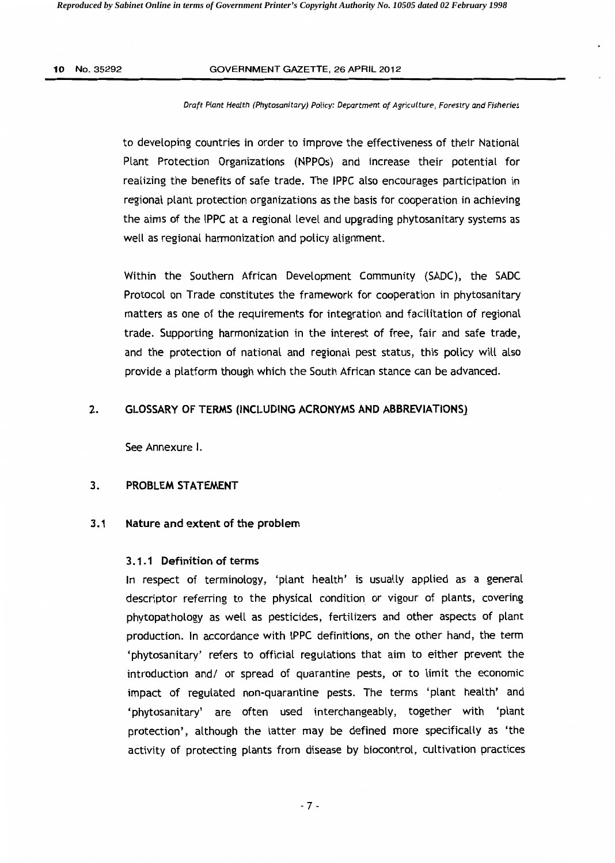Draft Plant Health (Phytosanitary) Policy: Department of Agriculture, Forestry and Fisheries

to developing countries in order to improve the effectiveness of their National Plant Protection Organizations (NPPOs) and increase their potential for realizing the benefits of safe trade. The IPPC also encourages participation in regional plant protection organizations as the basis for cooperation in achieving the aims of the IPPC at a regional level and upgrading phytosanitary systems as well as regional harmonization and policy alignment.

Within the Southern African Development Community (SADC), the SADC Protocol on Trade constitutes the framework for cooperation in phytosanitary matters as one of the requirements for integration and facilitation of regional trade. Supporting harmonization in the interest of free, fair and safe trade, and the protection of national and regional pest status, this policy will also provide a platform though which the South African stance can be advanced.

#### **2. GLOSSARY OF TERMS (INCLUDING ACRONYMS AND ABBREVIATIONS)**

See Annexure I.

#### **3. PROBLEM STATEMENT**

#### **3. 1 Nature and extent of the problem**

#### **3.1.1 Definition of terms**

In respect of terminology, 'plant health' is usually applied as a general descriptor referring to the physical condition or vigour of plants, covering phytopathology as well as pesticides, fertilizers and other aspects of plant production. In accordance with IPPC definitions, on the other hand, the term 'phytosanitary' refers to official regulations that aim to either prevent the introduction and/ or spread of quarantine pests, or to limit the economic impact of regulated non-quarantine pests. The terms 'plant health' and 'phytosanitary' are often used interchangeably, together with 'plant protection', although the latter may be defined more specifically as 'the activity of protecting plants from disease by biocontrol, cultivation practices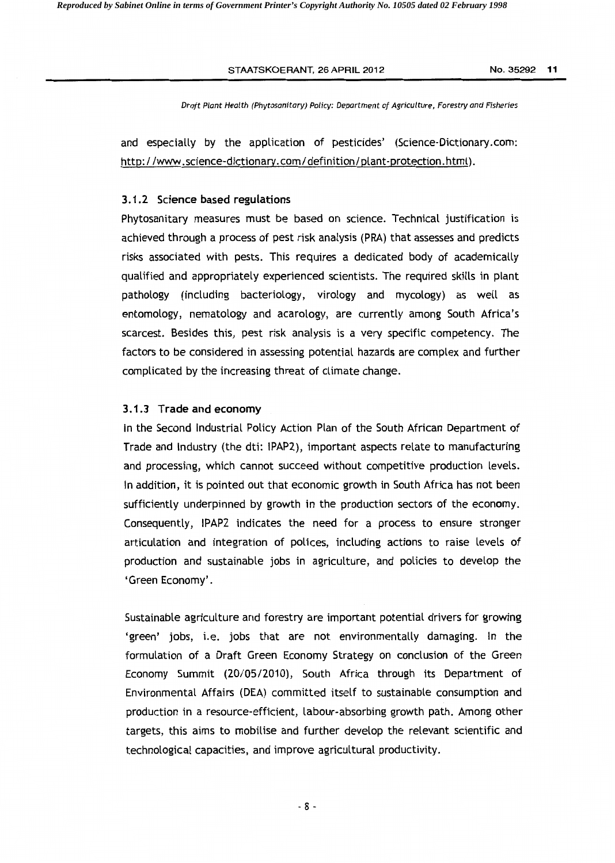STAATSKOERANT, 26 APRIL 2012 No. 35292 11

Draft Plant Health (Phytosanitary) Policy: Department of Agriculture, Forestry and Fisheries

and especially by the application of pesticides' (Science-Dictionary.com: http://www.science-dictionary.com/definition/plant-protection.html).

#### 3.1.2 Science based regulations

Phytosanitary measures must be based on science. Technical justification is achieved through a process of pest risk analysis (PRA) that assesses and predicts risks associated with pests. This requires a dedicated body of academically qualified and appropriately experienced scientists. The required skills in plant pathology (including bacteriology, virology and mycology) as well as entomology, nematology and acarology, are currently among South Africa's scarcest. Besides this, pest risk analysis is a very specific competency. The factors to be considered in assessing potential hazards are complex and further complicated by the increasing threat of climate change.

# 3.1.3 Trade and economy

In the Second Industrial Policy Action Plan of the South African Department of Trade and Industry (the dti: IPAP2}, important aspects relate to manufacturing and processing, which cannot succeed without competitive production levels. In addition, it is pointed out that economic growth in South Africa has not been sufficiently underpinned by growth in the production sectors of the economy. Consequently, IPAP2 indicates the need for a process to ensure stronger articulation and integration of polices, including actions to raise levels of production and sustainable jobs in agriculture, and policies to develop the 'Green Economy'.

Sustainable agriculture and forestry are important potential drivers for growing 'green' jobs, i.e. jobs that are not environmentally damaging. In the formulation of a Draft Green Economy Strategy on conclusion of the Green Economy Summit (20/05/2010), South Africa through its Department of Environmental Affairs (DEA} committed itself to sustainable consumption and production in a resource-efficient, labour-absorbing growth path. Among other targets, this aims to mobilise and further develop the relevant scientific and technological capacities, and improve agricultural productivity.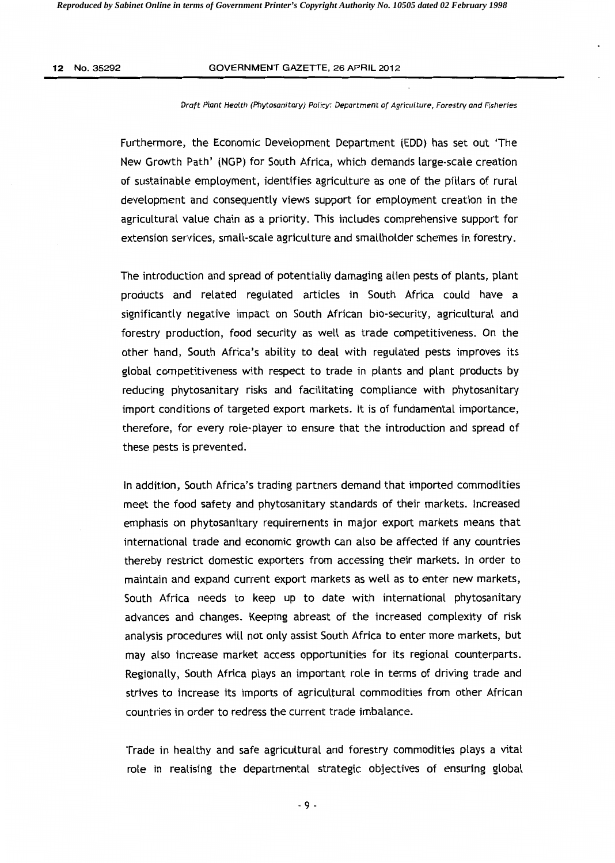#### Draft Plant Health (Phytosanitary) Policy: Department of Agriculture, Forestry and Fisheries

Furthermore, the Economic Development Department (EDD) has set out 'The New Growth Path' (NGP) for South Africa, which demands large-scale creation of sustainable employment, identifies agriculture as one of the pillars of rural development and consequently views support for employment creation in the agricultural value chain as a priority. This includes comprehensive support for extension services, small-scale agriculture and smallholder schemes in forestry.

The introduction and spread of potentially damaging alien pests of plants, plant products and related regulated articles in South Africa could have a significantly negative impact on South African bio-security, agricultural and forestry production, food security as well as trade competitiveness. On the other hand, South Africa's ability to deal with regulated pests improves its global competitiveness with respect to trade in plants and plant products by reducing phytosanitary risks and facilitating compliance with phytosanitary import conditions of targeted export markets. It is of fundamental importance, therefore, for every role-player to ensure that the introduction and spread of these pests is prevented.

In addition, South Africa's trading partners demand that imported commodities meet the food safety and phytosanitary standards of their markets. Increased emphasis on phytosanitary requirements in major export markets means that international trade and economic growth can also be affected if any countries thereby restrict domestic exporters from accessing their markets. In order to maintain and expand current export markets as well as to enter new markets, South Africa needs to keep up to date with international phytosanitary advances and changes. Keeping abreast of the increased complexity of risk analysis procedures will not only assist South Africa to enter more markets, but may also increase market access opportunities for its regional counterparts. Regionally, South Africa plays an important role in terms of driving trade and strives to increase its imports of agricultural commodities from other African countries in order to redress the current trade imbalance.

Trade in healthy and safe agricultural and forestry commodities plays a vital role in realising the departmental strategic objectives of ensuring global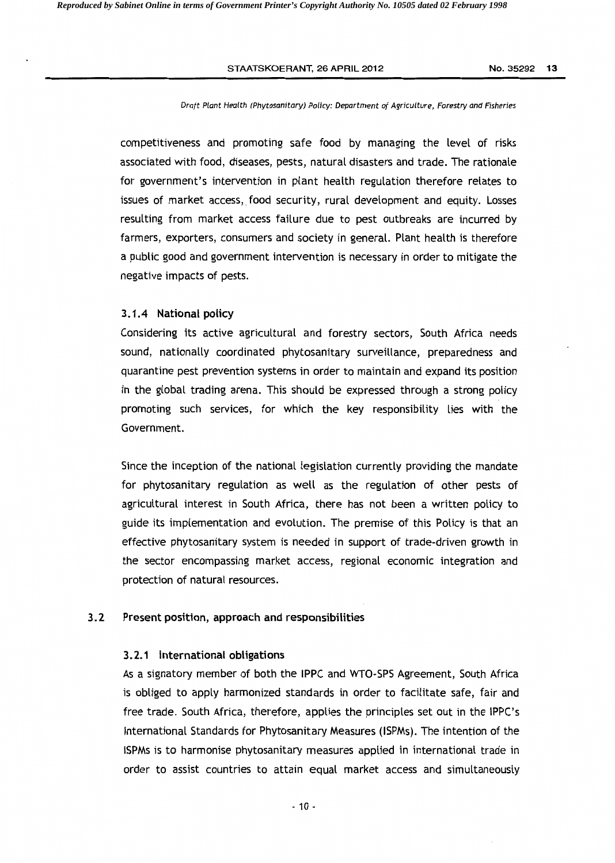STAATSKOERANT, 26 APRIL 2012 No.35292 **13** 

#### Draft Plant Health (Phytosanitary) Policy: Department of Agriculture, Forestry and Fisheries

competitiveness and promoting safe food by managing the level of risks associated with food, diseases, pests, natural disasters and trade. The rationale for government's intervention in plant health regulation therefore relates to issues of market access, food security, rural development and equity. Losses resulting from market access failure due to pest outbreaks are incurred by farmers, exporters, consumers and society in general. Plant health is therefore a public good and government intervention is necessary in order to mitigate the negative impacts of pests.

#### **3. 1.4 National policy**

Considering its active agricultural and forestry sectors, South Africa needs sound, nationally coordinated phytosanitary surveillance, preparedness and quarantine pest prevention systems in order to maintain and expand its position in the global trading arena. This should be expressed through a strong policy promoting such services, for which the key responsibility lies with the Government.

Since the inception of the national legislation currently providing the mandate for phytosanitary regulation as well as the regulation of other pests of agricultural interest in South Africa, there has not been a written policy to guide its implementation and evolution. The premise of this Policy is that an effective phytosanitary system is needed in support of trade-driven growth in the sector encompassing market access, regional economic integration and protection of natural resources.

#### 3.2 **Present position, approach and responsibilities**

#### **3.2.1 International obligations**

As a signatory member of both the IPPC and WTO-SPS Agreement, South Africa is obliged to apply harmonized standards in order to facilitate safe, fair and free trade. South Africa, therefore, applies the principles set out in the IPPC's International Standards for Phytosanitary Measures (ISPMs). The intention of the ISPMs is to harmonise phytosanitary measures applied in international trade in order to assist countries to attain equal market access and simultaneously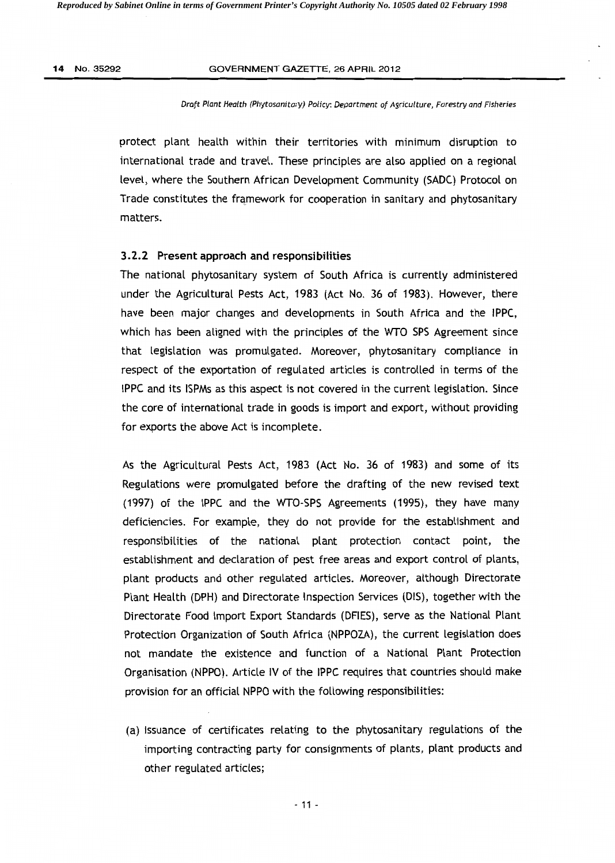Draft Plant Health (Phytosanitary) Policy: Department of Agriculture, Forestry and Fisheries

protect plant health within their territories with minimum disruption to international trade and travel. These principles are also applied on a regional level, where the Southern African Development Community (SADC) Protocol on Trade constitutes the framework for cooperation in sanitary and phytosanitary matters.

#### 3.2.2 Present approach and responsibilities

The national phytosanitary system of South Africa is currently administered under the Agricultural Pests Act, 1983 (Act No. 36 of 1983). However, there have been major changes and developments in South Africa and the IPPC, which has been aligned with the principles of the WTO SPS Agreement since that legislation was promulgated. Moreover, phytosanitary compliance in respect of the exportation of regulated articles is controlled in terms of the IPPC and its ISPMs as this aspect is not covered in the current legislation. Since the core of international trade in goods is import and export, without providing for exports the above Act is incomplete.

As the Agricultural Pests Act, 1983 (Act No. 36 of 1983) and some of its Regulations were promulgated before the drafting of the new revised text (1997) of the IPPC and the WTO-SPS Agreements (1995), they have many deficiencies. For example, they do not provide for the establishment and responsibilities of the national plant protection contact point, the establishment and declaration of pest free areas and export control of plants, plant products and other regulated articles. Moreover, although Directorate Plant Health (DPH) and Directorate Inspection Services (DIS), together with the Directorate Food Import Export Standards (DFIES), serve as the National Plant Protection Organization of South Africa (NPPOZA), the current legislation does not mandate the existence and function of a National Plant Protection Organisation (NPPO). Article IV of the IPPC requires that countries should make provision for an official NPPO with the following responsibilities:

(a) Issuance of certificates relating to the phytosanitary regulations of the importing contracting party for consignments of plants, plant products and other regulated articles;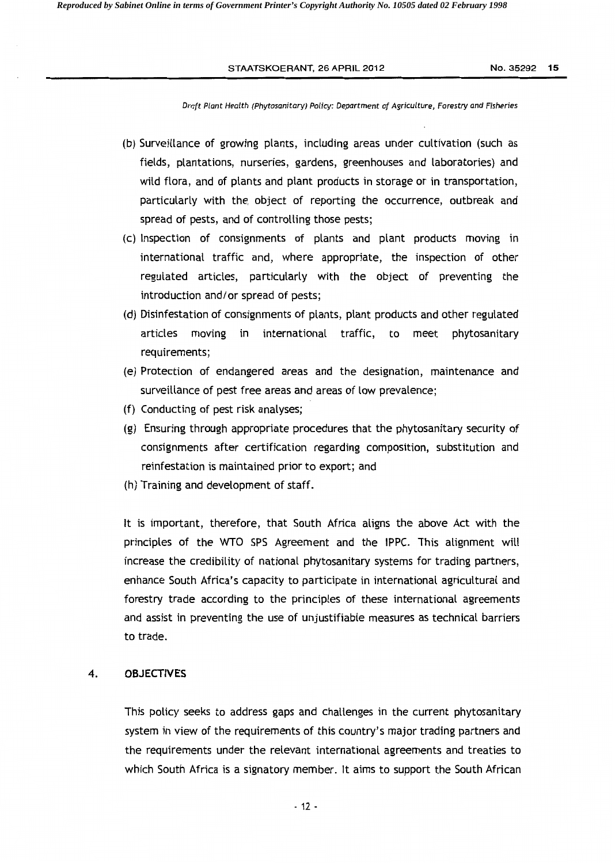#### STAATSKOERANT, 26 APRIL 2012 No.35292 **15**

Draft Plant Health (Phytosanitary) Policy: Department of Agriculture, Forestry and Fisheries

- (b) Surveillance of growing plants, including areas under cultivation (such as fields, plantations, nurseries, gardens, greenhouses and laboratories) and wild flora, and of plants and plant products in storage or in transportation, particularly with the object of reporting the occurrence, outbreak and spread of pests, and of controlling those pests;
- (c) Inspection of consignments of plants and plant products moving in international traffic and, where appropriate, the inspection of other regulated articles, particularly with the object of preventing the introduction and/or spread of pests;
- (d) Disinfestation of consignments of plants, plant products and other regulated articles moving in international traffic, to meet phytosanitary requirements;
- (e) Protection of endangered areas and the designation, maintenance and surveillance of pest free areas and areas of low prevalence;
- (f) Conducting of pest risk analyses;
- (g) Ensuring through appropriate procedures that the phytosanitary security of consignments after certification regarding composition, substitution and reinfestation is maintained prior to export; and
- (h) Training and development of staff.

It is important, therefore, that South Africa aligns the above Act with the principles of the WTO SPS Agreement and the IPPC. This alignment will increase the credibility of national phytosanitary systems for trading partners, enhance South Africa's capacity to participate in international agricultural and forestry trade according to the principles of these international agreements and assist in preventing the use of unjustifiable measures as technical barriers to trade.

#### **4. OBJECTIVES**

This policy seeks to address gaps and challenges in the current phytosanitary system in view of the requirements of this country's major trading partners and the requirements under the relevant international agreements and treaties to which South Africa is a signatory member. It aims to support the South African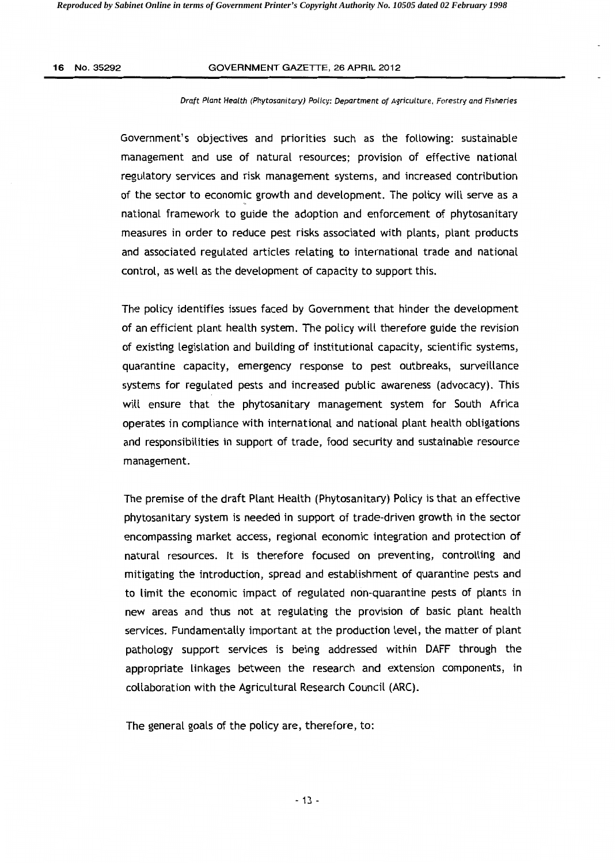#### Draft Plant Health (Phytosanitary) Policy: Department of Agriculture, Forestry and Fisheries

Government's objectives and priorities such as the following: sustainable management and use of natural resources; provision of effective national regulatory services and risk management systems, and increased contribution of the sector to economic growth and development. The policy will serve as a national framework to guide the adoption and enforcement of phytosanitary measures in order to reduce pest risks associated with plants, plant products and associated regulated articles relating to international trade and national control, as well as the development of capacity to support this.

The policy identifies issues faced by Government that hinder the development of an efficient plant health system. The policy will therefore guide the revision of existing legislation and building of institutional capacity, scientific systems, quarantine capacity, emergency response to pest outbreaks, surveillance systems for regulated pests and increased public awareness (advocacy). This will ensure that the phytosanitary management system for South Africa operates in compliance with international and national plant health obligations and responsibilities in support of trade, food security and sustainable resource management.

The premise of the draft Plant Health (Phytosanitary) Policy is that an effective phytosanitary system is needed in support of trade-driven growth in the sector encompassing market access, regional economic integration and protection of natural resources. It is therefore focused on preventing, controlling and mitigating the introduction, spread and establishment of quarantine pests and to limit the economic impact of regulated non-quarantine pests of plants in new areas and thus not at regulating the provision of basic plant health services. Fundamentally important at the production level, the matter of plant pathology support services is being addressed within DAFF through the appropriate linkages between the research and extension components, in collaboration with the Agricultural Research Council (ARC).

The general goals of the policy are, therefore, to: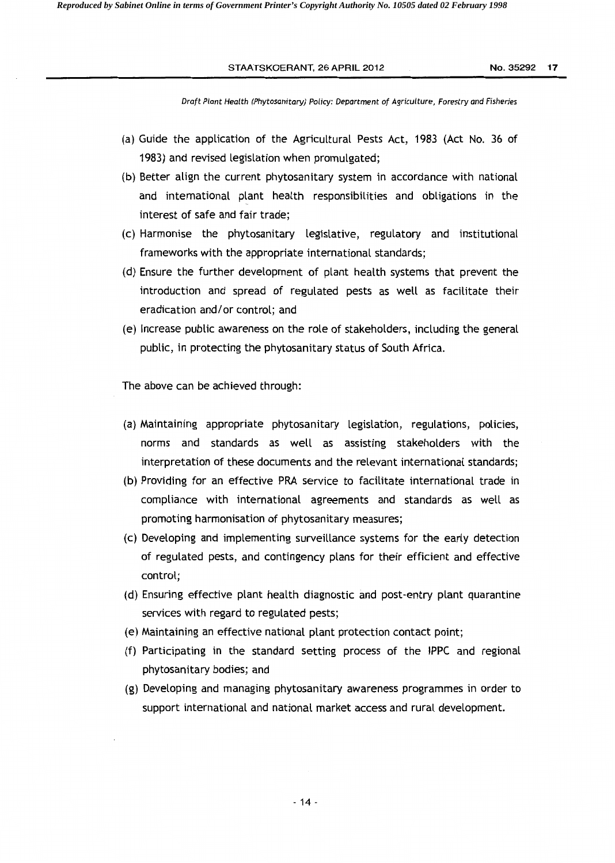STAATSKOERANT, 26 APRIL 2012 No. 35292 17

Draft Plant Health (Phytosanitary) Policy: Department of Agriculture, Forestry and Fisheries

- (a) Guide the application of the Agricultural Pests Act, 1983 (Act No. 36 of 1983) and revised legislation when promulgated;
- (b) Better align the current phytosanitary system in accordance with national and international plant health responsibilities and obligations in the interest of safe and fair trade;
- (c) Harmonise the phytosanitary legislative, regulatory and institutional frameworks with the appropriate international standards;
- (d) Ensure the further development of plant health systems that prevent the introduction and spread of regulated pests as well as facilitate their eradication and/ or control; and
- (e) Increase public awareness on the role of stakeholders, including the general public, in protecting the phytosanitary status of South Africa.

The above can be achieved through:

- (a) Maintaining appropriate phytosanitary legislation, regulations, policies, norms and standards as well as assisting stakeholders with the interpretation of these documents and the relevant international standards;
- (b) Providing for an effective PRA service to facilitate international trade in compliance with international agreements and standards as well as promoting harmonisation of phytosanitary measures;
- (c) Developing and implementing surveillance systems for the early detection of regulated pests, and contingency plans for their efficient and effective control;
- (d) Ensuring effective plant health diagnostic and post-entry plant quarantine services with regard to regulated pests;
- (e) Maintaining an effective national plant protection contact point;
- (f) Participating in the standard setting process of the IPPC and regional phytosanitary bodies; and
- (g) Developing and managing phytosanitary awareness programmes in order to support international and national market access and rural development.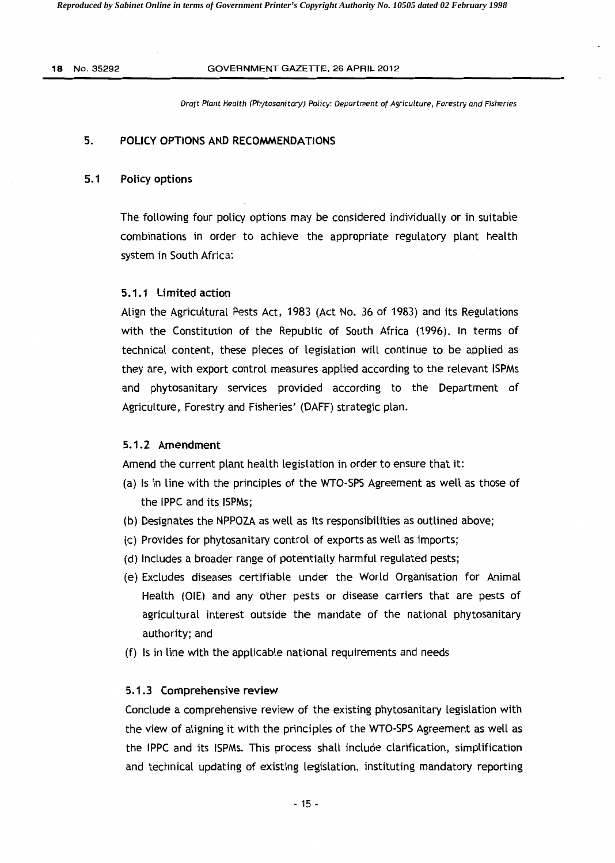Draft Plant Health (Phytosanitary) Policy: Department of Agriculture, Forestry and Fisheries

#### 5. POLICY OPTIONS AND RECOMMENDATIONS

#### 5.1 Policy options

The following four policy options may be considered individually or in suitable combinations in order to achieve the appropriate regulatory plant health system in South Africa:

#### 5.1.1 Limited action

Align the Agricultural Pests Act, 1983 (Act No. 36 of 1983) and its Regulations with the Constitution of the Republic of South Africa (1996). In terms of technical content, these pieces of legislation will continue to be applied as they are, with export control measures applied according to the relevant ISPMs and phytosanitary services provided according to the Department of Agriculture, Forestry and Fisheries' (DAFF) strategic plan.

#### 5.1.2 Amendment

Amend the current plant health legislation in order to ensure that it:

- (a) Is in line with the principles of the WTO-SPS Agreement as well as those of the IPPC and its ISPMs;
- (b) Designates the NPPOZA as well as its responsibilities as outlined above;
- (c) Provides for phytosanitary control of exports as well as imports;
- (d) Includes a broader range of potentially harmful regulated pests;
- (e) Excludes diseases certifiable under the World Organisation for Animal Health (OlE) and any other pests or disease carriers that are pests of agricultural interest outside the mandate of the national phytosanitary authority; and
- (f) Is in line with the applicable national requirements and needs

#### 5.1.3 Comprehensive review

Conclude a comprehensive review of the existing phytosanitary legislation with the view of aligning it with the principles of the WTO-SPS Agreement as well as the IPPC and its ISPMs. This process shall include clarification, simplification and technical updating of existing legislation, instituting mandatory reporting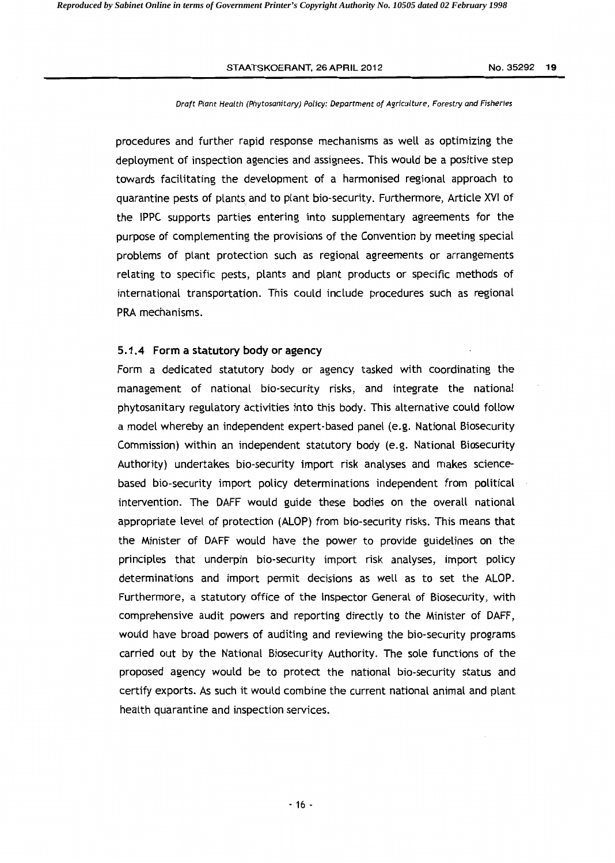STAATSKOERANT, 26 APRIL 2012 No.35292 **19** 

#### Draft Plant Health (Phytosanitary) Policy: Department of Agriculture, Forestry and Fisheries

procedures and further rapid response mechanisms as well as optimizing the deployment of inspection agencies and assignees. This would be a positive step towards facilitating the development of a harmonised regional approach to quarantine pests of plants and to plant bio-security. Furthermore, Article XVI of the IPPC supports parties entering into supplementary agreements for the purpose of complementing the provisions of the Convention by meeting special problems of plant protection such as regional agreements or arrangements relating to specific pests, plants and plant products or specific methods of international transportation. This could include procedures such as regional PRA mechanisms.

#### **5.1.4 Form a statutory body or agency**

Form a dedicated statutory body or agency tasked with coordinating the management of national bio-security risks, and integrate the national phytosanitary regulatory activities into this body. This alternative could follow a model whereby an independent expert-based panel (e.g. National Biosecurity Commission) within an independent statutory body (e.g. National Biosecurity Authority) undertakes bio-security import risk analyses and makes sciencebased bio-security import policy determinations independent from political intervention. The DAFF would guide these bodies on the overall national appropriate level of protection (ALOP) from bio-security risks. This means that the Minister of DAFF would have the power to provide guidelines on the principles that underpin bio-security import risk analyses, import policy determinations and import permit decisions as well as to set the ALOP. Furthermore, a statutory office of the Inspector General of Biosecurity, with comprehensive audit powers and reporting directly to the Minister of DAFF, would have broad powers of auditing and reviewing the bio-security programs carried out by the National Biosecurity Authority. The sole functions of the proposed agency would be to protect the national bio-security status and certify exports. As such it would combine the current national animal and plant health quarantine and inspection services.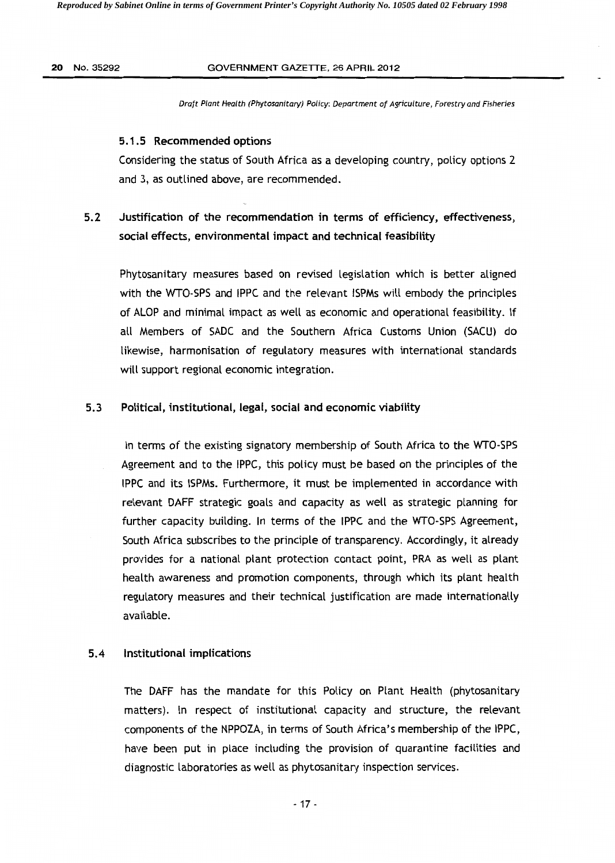Draft Plant Health (Phytosanitary) Policy: Department of Agriculture, Forestry and Fisheries

#### 5.1.5 Recommended options

Considering the status of South Africa as a developing country, policy options 2 and 3, as outlined above, are recommended.

# 5.2 Justification of the recommendation in terms of efficiency, effectiveness, social effects, environmental impact and technical feasibility

Phytosanitary measures based on revised legislation which is better aligned with the WTO-SPS and IPPC and the relevant ISPMs will embody the principles of ALOP and minimal impact as well as economic and operational feasibility. If all Members of SADC and the Southern Africa Customs Union (SACU) do likewise, harmonisation of regulatory measures with international standards will support regional economic integration.

#### 5.3 Political, institutional, legal, social and economic viability

In terms of the existing signatory membership of South Africa to the WTO-SPS Agreement and to the IPPC, this policy must be based on the principles of the IPPC and its ISPMs. Furthermore, it must be implemented in accordance with relevant DAFF strategic goals and capacity as well as strategic planning for further capacity building. In terms of the IPPC and the WTO-SPS Agreement, South Africa subscribes to the principle of transparency. Accordingly, it already provides for a national plant protection contact point, PRA as well as plant health awareness and promotion components, through which its plant health regulatory measures and their technical justification are made internationally available.

#### 5.4 Institutional implications

The DAFF has the mandate for this Policy on Plant Health (phytosanitary matters). In respect of institutional capacity and structure, the relevant components of the NPPOZA, in terms of South Africa's membership of the IPPC, have been put in place including the provision of quarantine facilities and diagnostic laboratories as well as phytosanitary inspection services.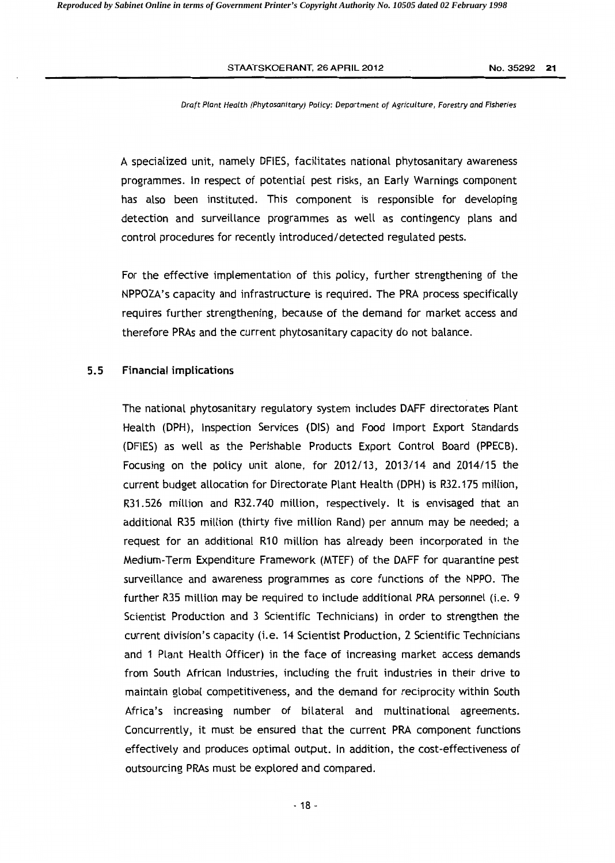STAATSKOERANT, 26 APRIL 2012 12 No. 35292 21

Draft Plant Health (Phytosanitary) Policy: Department of Agriculture, Forestry and Fisheries

A specialized unit, namely DFIES, facilitates national phytosanitary awareness programmes. In respect of potential pest risks, an Early Warnings component has also been instituted. This component is responsible for developing detection and surveillance programmes as well as contingency plans and control procedures for recently introduced/detected regulated pests.

For the effective implementation of this policy, further strengthening of the NPPOZA's capacity and infrastructure is required. The PRA process specifically requires further strengthening, because of the demand for market access and therefore PRAs and the current phytosanitary capacity do not balance.

#### 5.5 Financial implications

The national phytosanitary regulatory system includes DAFF directorates Plant Health (DPH), Inspection Services (DIS) and Food Import Export Standards (DFIES) as well as the Perishable Products Export Control Board (PPECB). Focusing on the policy unit alone, for 2012/13, 2013/14 and 2014/15 the current budget allocation for Directorate Plant Health (DPH) is R32.175 million, R31.526 million and R32.740 million, respectively. It is envisaged that an additional R35 million (thirty five million Rand) per annum may be needed; a request for an additional R10 million has already been incorporated in the Medium-Term Expenditure Framework (MTEF) of the DAFF for quarantine pest surveillance and awareness programmes as core functions of the NPPO. The further R35 million may be required to include additional PRA personnel (i.e. 9 Scientist Production and 3 Scientific Technicians) in order to strengthen the current division's capacity (i.e. 14 Scientist Production, 2 Scientific Technicians and 1 Plant Health Officer) in the face of increasing market access demands from South African Industries, including the fruit industries in their drive to maintain global competitiveness, and the demand for reciprocity within South Africa's increasing number of bilateral and multinational agreements. Concurrently, it must be ensured that the current PRA component functions effectively and produces optimal output. In addition, the cost-effectiveness of outsourcing PRAs must be explored and compared.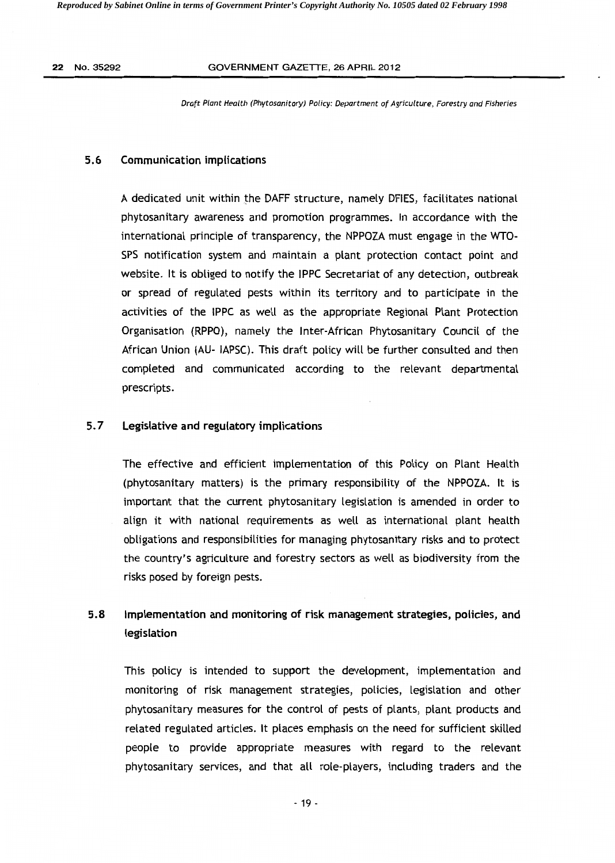Draft Plant Health (Phytosanitary) Policy: Department of Agriculture, Forestry and Fisheries

#### **5.6 Communication implications**

A dedicated unit within the DAFF structure, namely DFIES, facilitates national phytosanitary awareness and promotion programmes. In accordance with the international principle of transparency, the NPPOZA must engage in the WTO-SPS notification system and maintain a plant protection contact point and website. It is obliged to notify the IPPC Secretariat of any detection, outbreak or spread of regulated pests within its territory and to participate in the activities of the IPPC as well as the appropriate Regional Plant Protection Organisation (RPPO), namely the Inter-African Phytosanitary Council of the African Union (AU- IAPSC). This draft policy will be further consulted and then completed and communicated according to the relevant departmental prescripts.

### **5. 7 Legislative and regulatory implications**

The effective and efficient implementation of this Policy on Plant Health (phytosanitary matters) is the primary responsibility of the NPPOZA. It is important that the current phytosanitary legislation is amended in order to align it with national requirements as well as international plant health obligations and responsibilities for managing phytosanitary risks and to protect the country's agriculture and forestry sectors as well as biodiversity from the risks posed by foreign pests.

# **5.8 Implementation and monitoring of risk management strategies, policies, and legislation**

This policy is intended to support the development, implementation and monitoring of risk management strategies, policies, legislation and other phytosanitary measures for the control of pests of plants, plant products and related regulated articles. It places emphasis on the need for sufficient skilled people to provide appropriate measures with regard to the relevant phytosanitary services, and that all role-players, including traders and the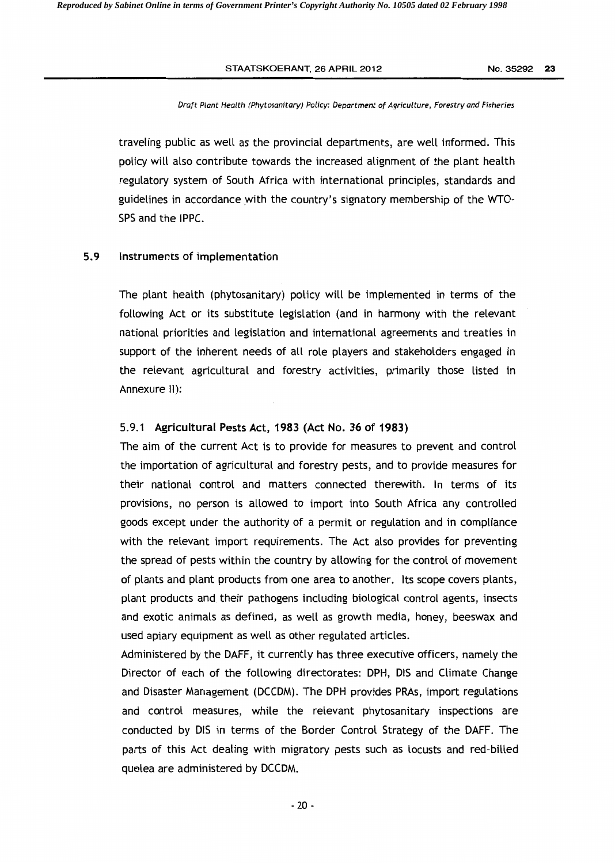STAATSKOERANT, 26 APRIL 2012 No. 35292 23

#### Draft Plant Health (Phytosanitary) Policy: Department of Agriculture, Forestry and Fisheries

traveling public as well as the provincial departments, are well informed. This policy will also contribute towards the increased alignment of the plant health regulatory system of South Africa with international principles, standards and guidelines in accordance with the country's signatory membership of the WTO-SPS and the IPPC.

#### 5. 9 Instruments of implementation

The plant health (phytosanitary) policy will be implemented in terms of the following Act or its substitute legislation (and in harmony with the relevant national priorities and legislation and international agreements and treaties in support of the inherent needs of all role players and stakeholders engaged in the relevant agricultural and forestry activities, primarily those listed in Annexure II):

# 5.9.1 Agricultural Pests Act, 1983 (Act No. 36 of 1983)

The aim of the current Act is to provide for measures to prevent and control the importation of agricultural and forestry pests, and to provide measures for their national control and matters connected therewith. In terms of its provisions, no person is allowed to import into South Africa any controlled goods except under the authority of a permit or regulation and in compliance with the relevant import requirements. The Act also provides for preventing the spread of pests within the country by allowing for the control of movement of plants and plant products from one area to another. Its scope covers plants, plant products and their pathogens including biological control agents, insects and exotic animals as defined, as well as growth media, honey, beeswax and used apiary equipment as well as other regulated articles.

Administered by the DAFF, it currently has three executive officers, namely the Director of each of the following directorates: DPH, DIS and Climate Change and Disaster Management (DCCDM). The DPH provides PRAs, import regulations and control measures, while the relevant phytosanitary inspections are conducted by DIS in terms of the Border Control Strategy of the DAFF. The parts of this Act dealing with migratory pests such as locusts and red-billed quelea are administered by DCCDM.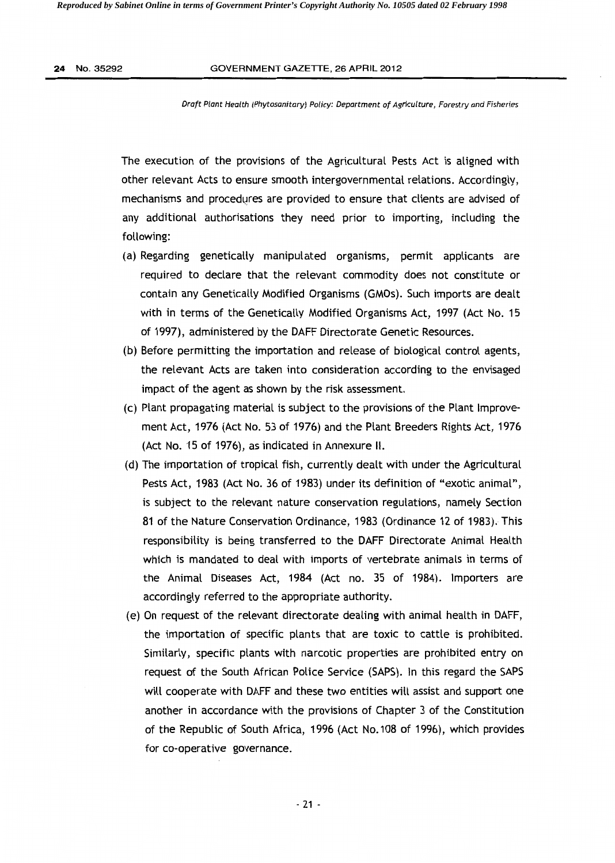Draft Plant Health (Phytosanitary) Policy: Department of Agriculture, Forestry and Fisheries

The execution of the provisions of the Agricultural Pests Act is aligned with other relevant Acts to ensure smooth intergovernmental relations. Accordingly, mechanisms and procedures are provided to ensure that clients are advised of any additional authorisations they need prior to importing, including the following:

- (a) Regarding genetically manipulated organisms, permit applicants are required to declare that the relevant commodity does not constitute or contain any Genetically Modified Organisms (GMOs). Such imports are dealt with in terms of the Genetically Modified Organisms Act, 1997 (Act No. 15 of 1997), administered by the DAFF Directorate Genetic Resources.
- (b) Before permitting the importation and release of biological control agents, the relevant Acts are taken into consideration according to the envisaged impact of the agent as shown by the risk assessment.
- (c) Plant propagating material is subject to the provisions of the Plant Improvement Act, 1976 (Act No. 53 of 1976) and the Plant Breeders Rights Act, 1976 (Act No. 15 of 1976), as indicated in Annexure II.
- (d) The importation of tropical fish, currently dealt with under the Agricultural Pests Act, 1983 (Act No. 36 of 1983) under its definition of "exotic animal", is subject to the relevant nature conservation regulations, namely Section 81 of the Nature Conservation Ordinance, 1983 (Ordinance 12 of 1983). This responsibility is being transferred to the DAFF Directorate Animal Health which is mandated to deal with imports of vertebrate animals in terms of the Animal Diseases Act, 1984 (Act no. 35 of 1984). Importers are accordingly referred to the appropriate authority.
- (e) On request of the relevant directorate dealing with animal health in DAFF, the importation of specific plants that are toxic to cattle is prohibited. Similarly, specific plants with narcotic properties are prohibited entry on request of the South African Police Service (SAPS). In this regard the SAPS will cooperate with DAFF and these two entities will assist and support one another in accordance with the provisions of Chapter 3 of the Constitution of the Republic of South Africa, 1996 (Act No.1 08 of 1996), which provides for co-operative governance.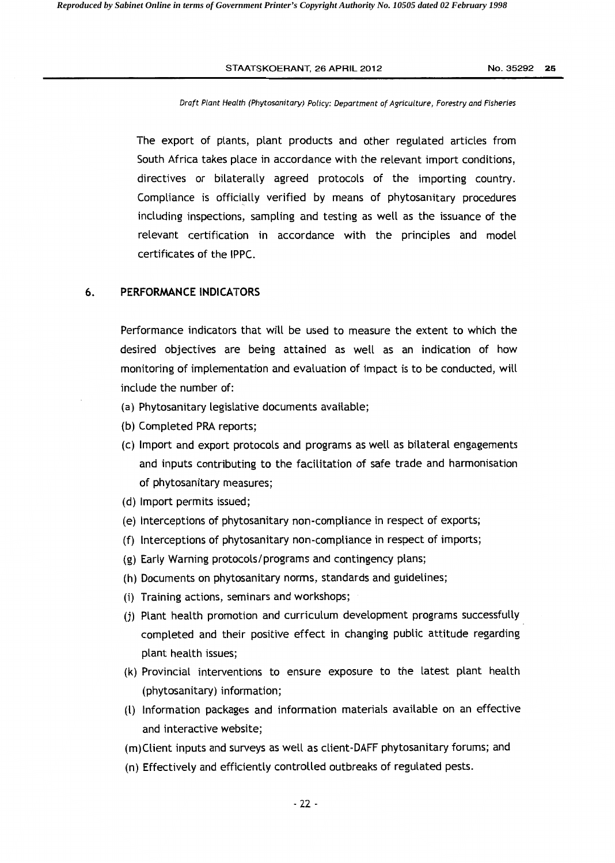STAATSKOERANT, 26 APRIL 2012 No. 35292 25

Draft Plant Health (Phytosanitary) Policy: Department of Agriculture, Forestry and Fisheries

The export of plants, plant products and other regulated articles from South Africa takes place in accordance with the relevant import conditions, directives or bilaterally agreed protocols of the importing country. Compliance is officially verified by means of phytosanitary procedures including inspections, sampling and testing as well as the issuance of the relevant certification in accordance with the principles and model certificates of the IPPC.

#### **6. PERFORMANCE INDICATORS**

Performance indicators that will be used to measure the extent to which the desired objectives are being attained as well as an indication of how monitoring of implementation and evaluation of impact is to be conducted, will include the number of:

- (a) Phytosanitary legislative documents available;
- (b) Completed PRA reports;
- (c) Import and export protocols and programs as well as bilateral engagements and inputs contributing to the facilitation of safe trade and harmonisation of phytosanitary measures;
- (d) Import permits issued;
- (e) Interceptions of phytosanitary non-compliance in respect of exports;
- (f) Interceptions of phytosanitary non-compliance in respect of imports;
- (g) Early Warning protocols/programs and contingency plans;
- (h) Documents on phytosanitary norms, standards and guidelines;
- (i) Training actions, seminars and workshops;
- (j) Plant health promotion and curriculum development programs successfully completed and their positive effect in changing public attitude regarding plant health issues;
- (k) Provincial interventions to ensure exposure to the latest plant health (phytosanitary) information;
- (l) Information packages and information materials available on an effective and interactive website;
- (m)Client inputs and surveys as well as client-DAFF phytosanitary forums; and
- (n) Effectively and efficiently controlled outbreaks of regulated pests.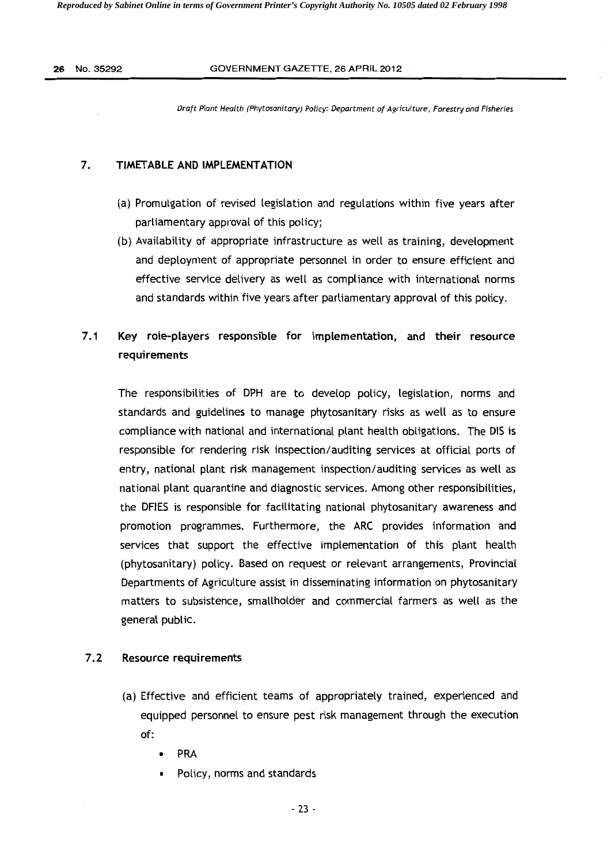Draft Plant Health (Phytosanitary) Policy: Department of Agriculture, Forestry and Fisheries

#### 7. TIMET ABLE AND IMPLEMENTATION

- (a) Promulgation of revised legislation and regulations within five years after parliamentary approval of this policy;
- (b) Availability of appropriate infrastructure as well as training, development and deployment of appropriate personnel in order to ensure efficient and effective service delivery as well as compliance with international norms and standards within five years after parliamentary approval of this policy.

# 7.1 Key role-players responsible for implementation, and their resource requirements

The responsibilities of DPH are to develop policy, legislation, norms and standards and guidelines to manage phytosanitary risks as well as to ensure compliance with national and international plant health obligations. The DIS is responsible for rendering risk inspection/auditing services at official ports of entry, national plant risk management inspection/auditing services as well as national plant quarantine and diagnostic services. Among other responsibilities, the DFIES is responsible for facilitating national phytosanitary awareness and promotion programmes. Furthermore, the ARC provides information and services that support the effective implementation of this plant health (phytosanitary) policy. Based on request or relevant arrangements, Provincial Departments of Agriculture assist in disseminating information on phytosanitary matters to subsistence, smallholder and commercial farmers as well as the general public.

#### 7.2 Resource requirements

- (a) Effective and efficient teams of appropriately trained, experienced and equipped personnel to ensure pest risk management through the execution of:
	- PRA
	- Policy, norms and standards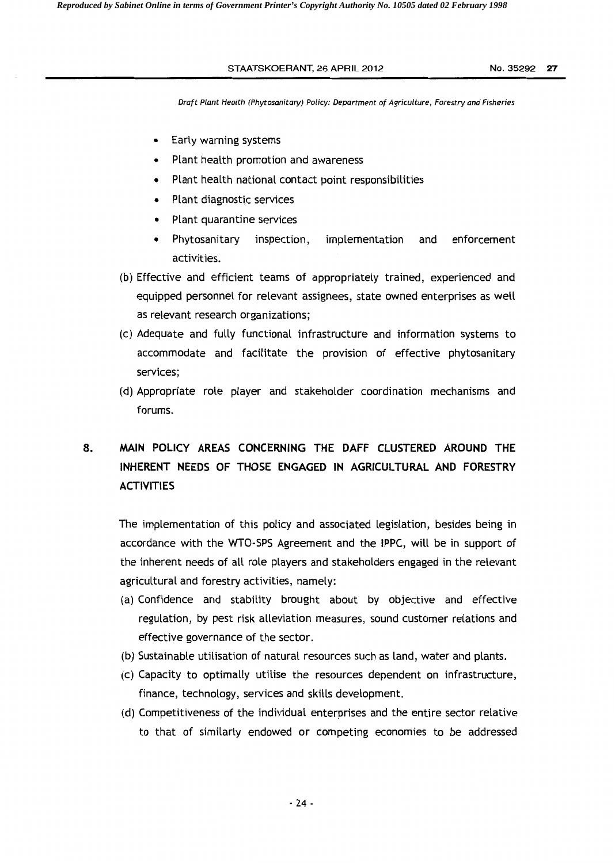#### STAATSKOERANT, 26 APRIL 2012 No.35292 **27**

Draft Plant Health (Phytosanitary) Policy: Department of Agriculture, Forestry and Fisheries

- Early warning systems
- Plant health promotion and awareness
- Plant health national contact point responsibilities
- Plant diagnostic services
- Plant quarantine services
- Phytosanitary inspection, implementation and enforcement activities.
- (b) Effective and efficient teams of appropriately trained, experienced and equipped personnel for relevant assignees, state owned enterprises as well as relevant research organizations;
- (c) Adequate and fully functional infrastructure and information systems to accommodate and facilitate the provision of effective phytosanitary services;
- (d) Appropriate role player and stakeholder coordination mechanisms and forums.

# **8. MAIN POLICY AREAS CONCERNING THE DAFF CLUSTERED AROUND THE INHERENT NEEDS OF THOSE ENGAGED IN AGRICULTURAL AND FORESTRY ACTIVITIES**

The implementation of this policy and associated legislation, besides being in accordance with the WTO-SPS Agreement and the IPPC, will be in support of the inherent needs of all role players and stakeholders engaged in the relevant agricultural and forestry activities, namely:

- (a) Confidence and stability brought about by objective and effective regulation, by pest risk alleviation measures, sound customer relations and effective governance of the sector.
- (b) Sustainable utilisation of natural resources such as land, water and plants.
- (c) Capacity to optimally utilise the resources dependent on infrastructure, finance, technology, services and skills development.
- (d) Competitiveness of the individual enterprises and the entire sector relative to that of similarly endowed or competing economies to be addressed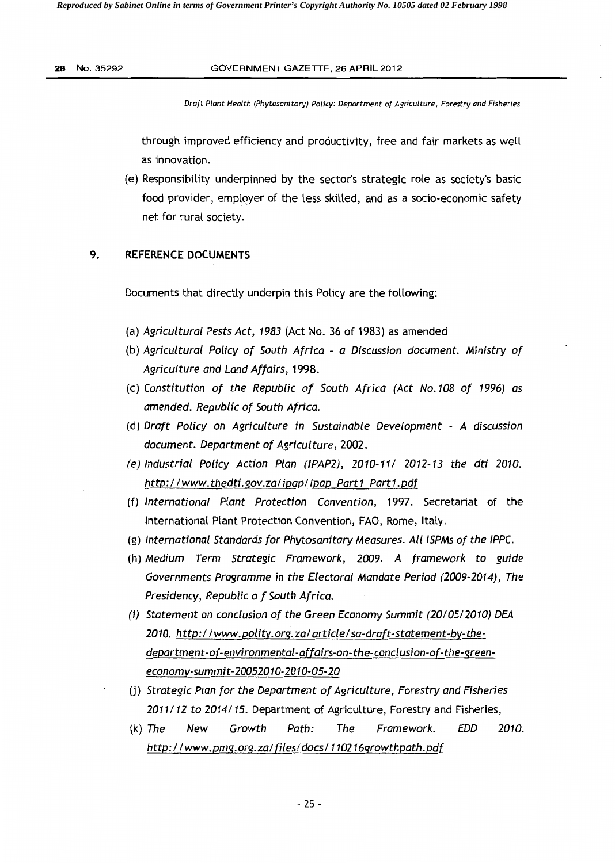Draft Plant Health (Phytosanitary) Policy: Department of Agriculture, Forestry and Fisheries

through improved efficiency and productivity, free and fair markets as well as innovation.

(e) Responsibility underpinned by the sector's strategic role as society's basic food provider, employer of the less skilled, and as a socio-economic safety net for rural society.

#### **9. REFERENCE DOCUMENTS**

Documents that directly underpin this Policy are the following:

- (a) Agricultural Pests Act, 1983 (Act No. 36 of 1983) as amended
- (b) Agricultural Policy of South Africa a Discussion document. Ministry of Agriculture and Land Affairs, 1998.
- (c) Constitution of the Republic of South Africa (Act No.108 of 1996) as amended. Republic of South Africa.
- (d) Draft Policy on Agriculture in Sustainable Development A discussion document. Department of Agriculture, 2002.
- (e) Industrial Policy Action Plan (IPAP2), 2010-111 2012-13 the dti 2010. http://www.thedti.gov.za/ipap/Ipap Part1 Part1.pdf
- (f) International Plant Protection Convention, 1997. Secretariat of the International Plant Protection Convention, FAO, Rome, Italy.
- (g) International Standards for Phytosanitary Measures. All ISPMs of the IPPC.
- (h) Medium Term Strategic Framework, 2009. A framework to guide Governments Programme in the Electoral Mandate Period (2009-2014), The Presidency, Republic o f South Africa.
- (i) Statement on conclusion of the Green Economy Summit (2010512010) DEA 2010. http://www.polity.org.za/article/sa-draft-statement-by-thedepartment-of-environmental-affairs-on-the-conclusion-of-the-greeneconomv-summit-20052010-2010-05-20
- (j) Strategic Plan for the Department of Agriculture, Forestry and Fisheries 2011/12 to 2014/15. Department of Agriculture, Forestry and Fisheries,
- (k) The New Growth Path: The Framework. EDD 2010. http://www.pmg.org.za/files/docs/110216growthpath.pdf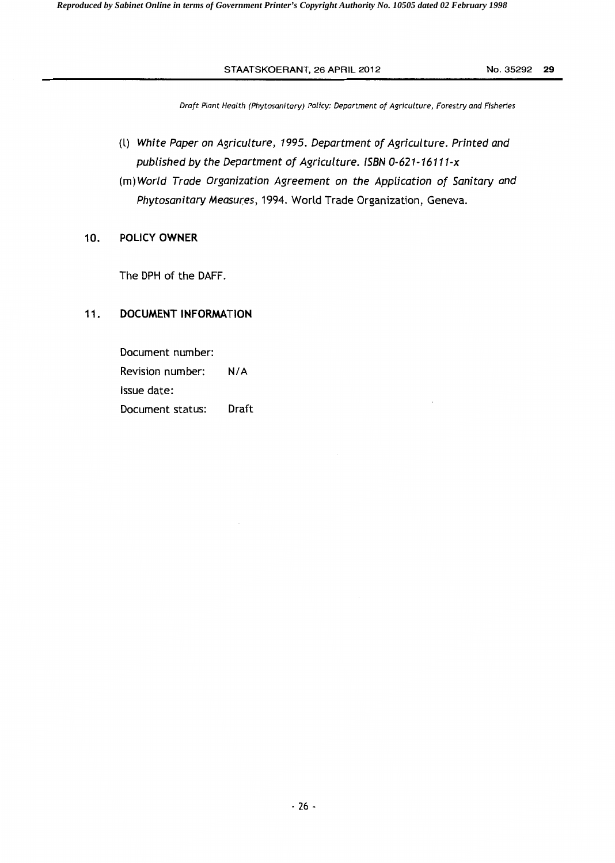#### STAATSKOERANT, 26 APRIL 2012 12 No. 35292 29

Draft Plant Health (Phytosanitary) Policy: Department of Agriculture, Forestry and Fisheries

- (I) White Paper on Agriculture, 1995. Department of Agriculture. Printed and published by the Department of Agriculture. ISBN 0-621-16111-x (m) World Trade Organization Agreement on the Application of Sanitary and
- Phytosanitary Measures, 1994. World Trade Organization, Geneva.

# 10. **POLICY OWNER**

The DPH of the DAFF.

# 11. **DOCUMENT INFORMATION**

| Document number: |       |
|------------------|-------|
| Revision number: | N/A   |
| Issue date:      |       |
| Document status: | Draft |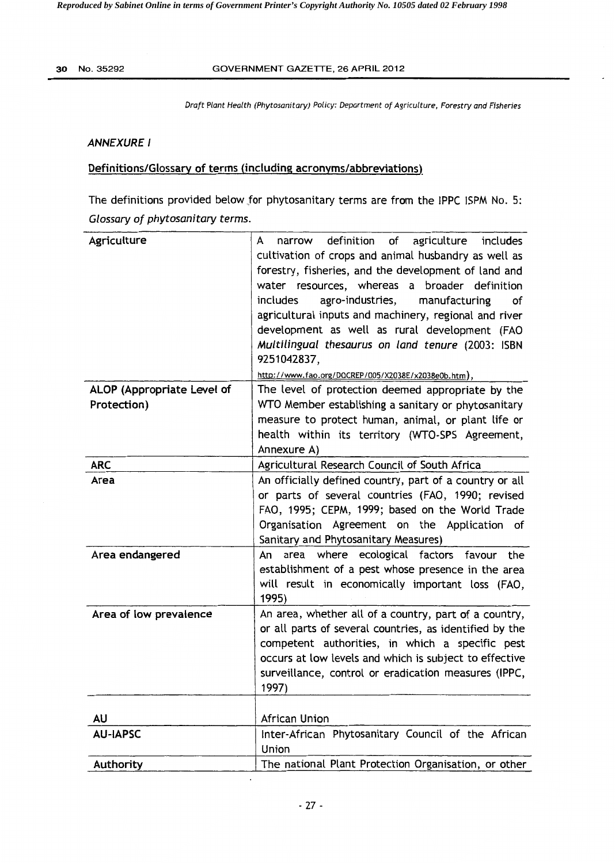*Draft Plant Health (Phytosanitary) Policy: Department of Agriculture, Forestry and Fisheries* 

# *ANNEXURE/*

# **Definitions/Glossary of terms (including acronyms/abbreviations)\_**

The definitions provided below for phytosanitary terms are from the IPPC ISPM No. 5: Glossary of phytosanitary terms.

| Agriculture                | definition<br>agriculture<br>of<br>includes<br>A<br>narrow<br>cultivation of crops and animal husbandry as well as<br>forestry, fisheries, and the development of land and<br>water resources, whereas a broader definition<br>includes<br>agro-industries,<br>manufacturing<br>of<br>agricultural inputs and machinery, regional and river<br>development as well as rural development (FAO<br>Multilingual thesaurus on land tenure (2003: ISBN<br>9251042837,<br>http://www.fao.org/DOCREP/005/X2038E/x2038e0b.htm), |
|----------------------------|-------------------------------------------------------------------------------------------------------------------------------------------------------------------------------------------------------------------------------------------------------------------------------------------------------------------------------------------------------------------------------------------------------------------------------------------------------------------------------------------------------------------------|
| ALOP (Appropriate Level of | The level of protection deemed appropriate by the                                                                                                                                                                                                                                                                                                                                                                                                                                                                       |
| Protection)                | WTO Member establishing a sanitary or phytosanitary                                                                                                                                                                                                                                                                                                                                                                                                                                                                     |
|                            | measure to protect human, animal, or plant life or                                                                                                                                                                                                                                                                                                                                                                                                                                                                      |
|                            | health within its territory (WTO-SPS Agreement,                                                                                                                                                                                                                                                                                                                                                                                                                                                                         |
| <b>ARC</b>                 | Annexure A)<br>Agricultural Research Council of South Africa                                                                                                                                                                                                                                                                                                                                                                                                                                                            |
| Area                       | An officially defined country, part of a country or all                                                                                                                                                                                                                                                                                                                                                                                                                                                                 |
|                            | or parts of several countries (FAO, 1990; revised<br>FAO, 1995; CEPM, 1999; based on the World Trade<br>Organisation Agreement on the Application of<br>Sanitary and Phytosanitary Measures)                                                                                                                                                                                                                                                                                                                            |
| Area endangered            | area where ecological factors favour the<br>An<br>establishment of a pest whose presence in the area<br>will result in economically important loss (FAO,<br>1995)                                                                                                                                                                                                                                                                                                                                                       |
| Area of low prevalence     | An area, whether all of a country, part of a country,<br>or all parts of several countries, as identified by the<br>competent authorities, in which a specific pest<br>occurs at low levels and which is subject to effective<br>surveillance, control or eradication measures (IPPC,<br>1997)                                                                                                                                                                                                                          |
| AU                         | African Union                                                                                                                                                                                                                                                                                                                                                                                                                                                                                                           |
| <b>AU-IAPSC</b>            | Inter-African Phytosanitary Council of the African                                                                                                                                                                                                                                                                                                                                                                                                                                                                      |
|                            | Union                                                                                                                                                                                                                                                                                                                                                                                                                                                                                                                   |
| Authority                  | The national Plant Protection Organisation, or other                                                                                                                                                                                                                                                                                                                                                                                                                                                                    |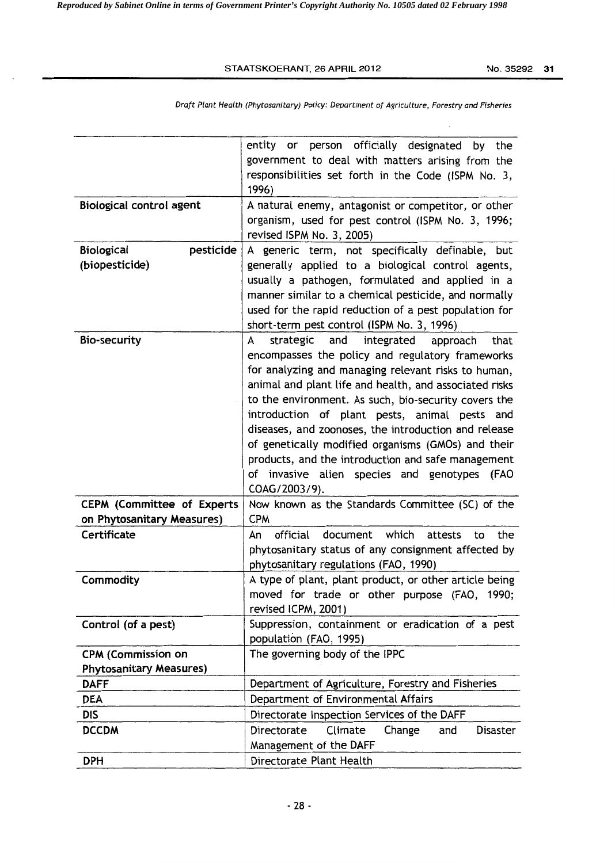#### STAATSKOERANT, 26 APRIL 2012 **No. 35292 31**

|                                                                 | entity or person officially designated<br>by the<br>government to deal with matters arising from the<br>responsibilities set forth in the Code (ISPM No. 3,<br>1996)                                                                                                                                                                                                                                                                                                                                                                                                       |
|-----------------------------------------------------------------|----------------------------------------------------------------------------------------------------------------------------------------------------------------------------------------------------------------------------------------------------------------------------------------------------------------------------------------------------------------------------------------------------------------------------------------------------------------------------------------------------------------------------------------------------------------------------|
| <b>Biological control agent</b>                                 | A natural enemy, antagonist or competitor, or other<br>organism, used for pest control (ISPM No. 3, 1996;<br>revised ISPM No. 3, 2005)                                                                                                                                                                                                                                                                                                                                                                                                                                     |
| pesticide<br><b>Biological</b><br>(biopesticide)                | A generic term, not specifically definable, but<br>generally applied to a biological control agents,<br>usually a pathogen, formulated and applied in a<br>manner similar to a chemical pesticide, and normally<br>used for the rapid reduction of a pest population for<br>short-term pest control (ISPM No. 3, 1996)                                                                                                                                                                                                                                                     |
| <b>Bio-security</b>                                             | strategic<br>and<br>integrated<br>A<br>approach<br>that<br>encompasses the policy and regulatory frameworks<br>for analyzing and managing relevant risks to human,<br>animal and plant life and health, and associated risks<br>to the environment. As such, bio-security covers the<br>introduction of plant pests, animal pests and<br>diseases, and zoonoses, the introduction and release<br>of genetically modified organisms (GMOs) and their<br>products, and the introduction and safe management<br>of invasive alien species and genotypes (FAO<br>COAG/2003/9). |
| <b>CEPM (Committee of Experts</b><br>on Phytosanitary Measures) | Now known as the Standards Committee (SC) of the<br><b>CPM</b>                                                                                                                                                                                                                                                                                                                                                                                                                                                                                                             |
| Certificate                                                     | which<br>official<br>document<br>attests<br>the<br>to<br>An<br>phytosanitary status of any consignment affected by<br>phytosanitary regulations (FAO, 1990)                                                                                                                                                                                                                                                                                                                                                                                                                |
| Commodity                                                       | A type of plant, plant product, or other article being<br>moved for trade or other purpose (FAO, 1990;<br>revised ICPM, 2001)                                                                                                                                                                                                                                                                                                                                                                                                                                              |
| Control (of a pest)                                             | Suppression, containment or eradication of a pest<br>population (FAO, 1995)                                                                                                                                                                                                                                                                                                                                                                                                                                                                                                |
| <b>CPM (Commission on</b>                                       | The governing body of the IPPC                                                                                                                                                                                                                                                                                                                                                                                                                                                                                                                                             |
| <b>Phytosanitary Measures)</b>                                  |                                                                                                                                                                                                                                                                                                                                                                                                                                                                                                                                                                            |
| <b>DAFF</b>                                                     | Department of Agriculture, Forestry and Fisheries                                                                                                                                                                                                                                                                                                                                                                                                                                                                                                                          |
| <b>DEA</b>                                                      | Department of Environmental Affairs                                                                                                                                                                                                                                                                                                                                                                                                                                                                                                                                        |
| DIS                                                             | Directorate Inspection Services of the DAFF                                                                                                                                                                                                                                                                                                                                                                                                                                                                                                                                |
| <b>DCCDM</b>                                                    | Directorate<br>Climate<br>Change<br>Disaster<br>and<br>Management of the DAFF                                                                                                                                                                                                                                                                                                                                                                                                                                                                                              |
| <b>DPH</b>                                                      | Directorate Plant Health                                                                                                                                                                                                                                                                                                                                                                                                                                                                                                                                                   |

Draft Plant Health (Phytosanitary) Policy: Department of Agriculture, Forestry and Fisheries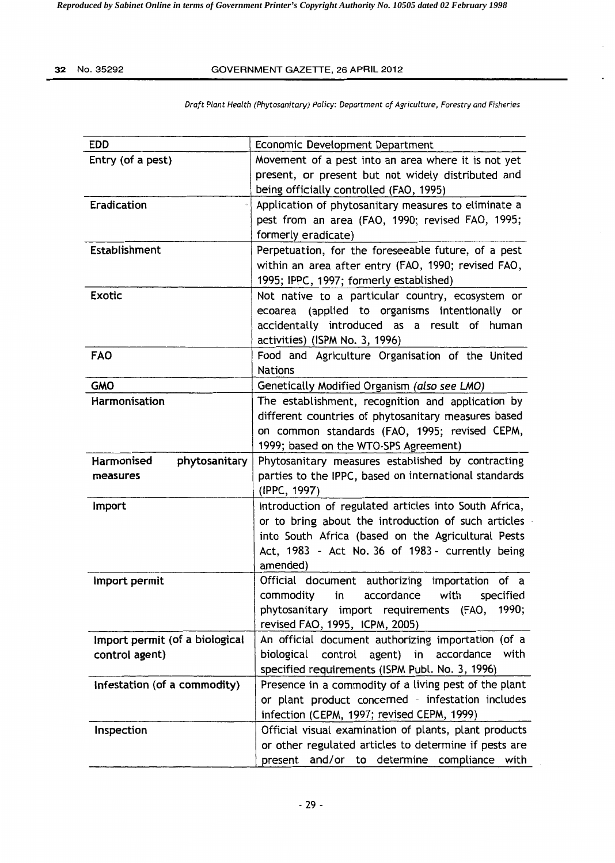| <b>EDD</b>                     | Economic Development Department                                                                            |
|--------------------------------|------------------------------------------------------------------------------------------------------------|
| Entry (of a pest)              | Movement of a pest into an area where it is not yet                                                        |
|                                | present, or present but not widely distributed and                                                         |
|                                | being officially controlled (FAO, 1995)                                                                    |
| Eradication                    | Application of phytosanitary measures to eliminate a                                                       |
|                                | pest from an area (FAO, 1990; revised FAO, 1995;                                                           |
|                                | formerly eradicate)                                                                                        |
| Establishment                  | Perpetuation, for the foreseeable future, of a pest                                                        |
|                                | within an area after entry (FAO, 1990; revised FAO,                                                        |
|                                | 1995; IPPC, 1997; formerly established)                                                                    |
| <b>Exotic</b>                  | Not native to a particular country, ecosystem or                                                           |
|                                | (applied to organisms intentionally or<br>ecoarea                                                          |
|                                | accidentally introduced as a result of human                                                               |
|                                | activities) (ISPM No. 3, 1996)                                                                             |
| <b>FAO</b>                     | Food and Agriculture Organisation of the United                                                            |
|                                | <b>Nations</b>                                                                                             |
| <b>GMO</b>                     | Genetically Modified Organism (also see LMO)                                                               |
| Harmonisation                  | The establishment, recognition and application by                                                          |
|                                | different countries of phytosanitary measures based                                                        |
|                                | on common standards (FAO, 1995; revised CEPM,                                                              |
|                                | 1999; based on the WTO-SPS Agreement)                                                                      |
| Harmonised<br>phytosanitary    | Phytosanitary measures established by contracting                                                          |
| measures                       | parties to the IPPC, based on international standards                                                      |
|                                | (IPPC, 1997)                                                                                               |
| Import                         | Introduction of regulated articles into South Africa,                                                      |
|                                | or to bring about the introduction of such articles                                                        |
|                                | into South Africa (based on the Agricultural Pests                                                         |
|                                | Act, 1983 - Act No. 36 of 1983 - currently being                                                           |
|                                | amended)                                                                                                   |
| Import permit                  | Official document authorizing importation of a                                                             |
|                                | specified<br>commodity in accordance with                                                                  |
|                                | phytosanitary import requirements (FAO, 1990;                                                              |
|                                | revised FAO, 1995, ICPM, 2005)                                                                             |
| Import permit (of a biological | An official document authorizing importation (of a                                                         |
| control agent)                 | biological control agent) in<br>accordance with                                                            |
|                                | specified requirements (ISPM Publ. No. 3, 1996)                                                            |
| Infestation (of a commodity)   | Presence in a commodity of a living pest of the plant                                                      |
|                                | or plant product concerned - infestation includes                                                          |
|                                | infection (CEPM, 1997; revised CEPM, 1999)                                                                 |
| Inspection                     | Official visual examination of plants, plant products                                                      |
|                                |                                                                                                            |
|                                | or other regulated articles to determine if pests are<br>and/or to determine compliance<br>with<br>present |

#### Draft Plant Health (Phytosanitary) Policy: Department of Agriculture, Forestry and Fisheries

 $\bar{\mathbf{r}}$ 

÷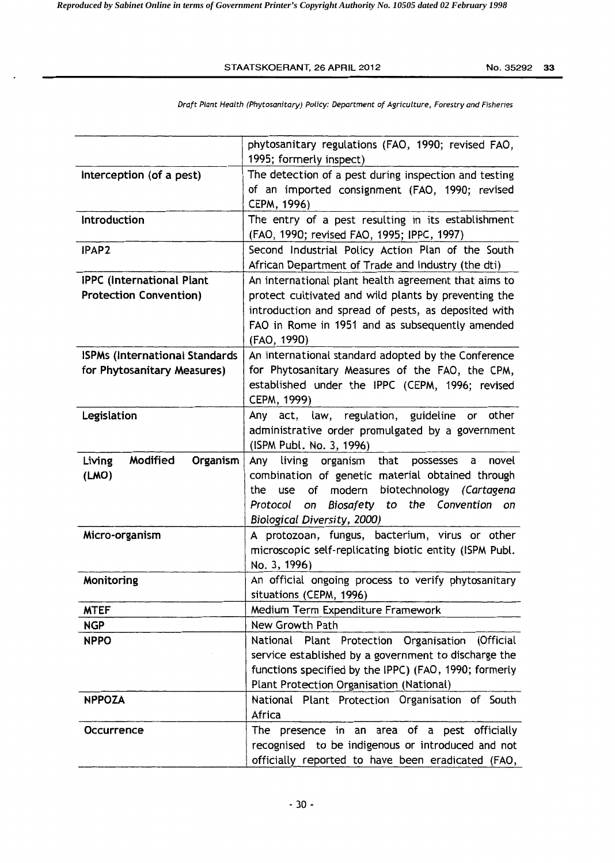#### STAATSKOERANT, 26 APRIL 2012 12 No. 35292 33

|                                        | phytosanitary regulations (FAO, 1990; revised FAO,<br>1995; formerly inspect)                                          |
|----------------------------------------|------------------------------------------------------------------------------------------------------------------------|
| interception (of a pest)               | The detection of a pest during inspection and testing<br>of an imported consignment (FAO, 1990; revised<br>CEPM, 1996) |
| Introduction                           | The entry of a pest resulting in its establishment<br>(FAO, 1990; revised FAO, 1995; IPPC, 1997)                       |
| <b>IPAP2</b>                           | Second Industrial Policy Action Plan of the South<br>African Department of Trade and Industry (the dti)                |
| <b>IPPC</b> (International Plant       | An international plant health agreement that aims to                                                                   |
| <b>Protection Convention)</b>          | protect cultivated and wild plants by preventing the                                                                   |
|                                        | introduction and spread of pests, as deposited with                                                                    |
|                                        | FAO in Rome in 1951 and as subsequently amended                                                                        |
|                                        | (FAO, 1990)                                                                                                            |
| <b>ISPMs (International Standards)</b> | An international standard adopted by the Conference                                                                    |
| for Phytosanitary Measures)            | for Phytosanitary Measures of the FAO, the CPM,                                                                        |
|                                        | established under the IPPC (CEPM, 1996; revised                                                                        |
|                                        | CEPM, 1999)                                                                                                            |
| Legislation                            | Any act, law, regulation, guideline or<br>other                                                                        |
|                                        | administrative order promulgated by a government                                                                       |
|                                        | (ISPM Publ. No. 3, 1996)                                                                                               |
| Organism<br>Modified<br>Living         | living organism that<br>novel<br>Any<br>possesses<br>a                                                                 |
| (LMO)                                  | combination of genetic material obtained through                                                                       |
|                                        | biotechnology (Cartagena<br>modern<br>the<br>of<br>use                                                                 |
|                                        | Biosafety to the Convention on<br>Protocol<br>on                                                                       |
|                                        | Biological Diversity, 2000)                                                                                            |
| Micro-organism                         | A protozoan, fungus, bacterium, virus or other                                                                         |
|                                        | microscopic self-replicating biotic entity (ISPM Publ.                                                                 |
|                                        | No. 3, 1996)                                                                                                           |
| Monitoring                             | An official ongoing process to verify phytosanitary                                                                    |
|                                        | situations (CEPM, 1996)                                                                                                |
| <b>MTEF</b>                            | Medium Term Expenditure Framework                                                                                      |
| <b>NGP</b>                             | New Growth Path                                                                                                        |
| <b>NPPO</b>                            | National Plant Protection Organisation (Official                                                                       |
|                                        | service established by a government to discharge the                                                                   |
|                                        | functions specified by the IPPC) (FAO, 1990; formerly                                                                  |
|                                        | Plant Protection Organisation (National)                                                                               |
| <b>NPPOZA</b>                          | National Plant Protection Organisation of South                                                                        |
|                                        | Africa                                                                                                                 |
| Occurrence                             | The presence in an area of a pest officially                                                                           |
|                                        | recognised to be indigenous or introduced and not                                                                      |
|                                        | officially reported to have been eradicated (FAO,                                                                      |

Draft Plant Health (Phytosanitary) Policy: Department of Agriculture, Forestry and Fisheries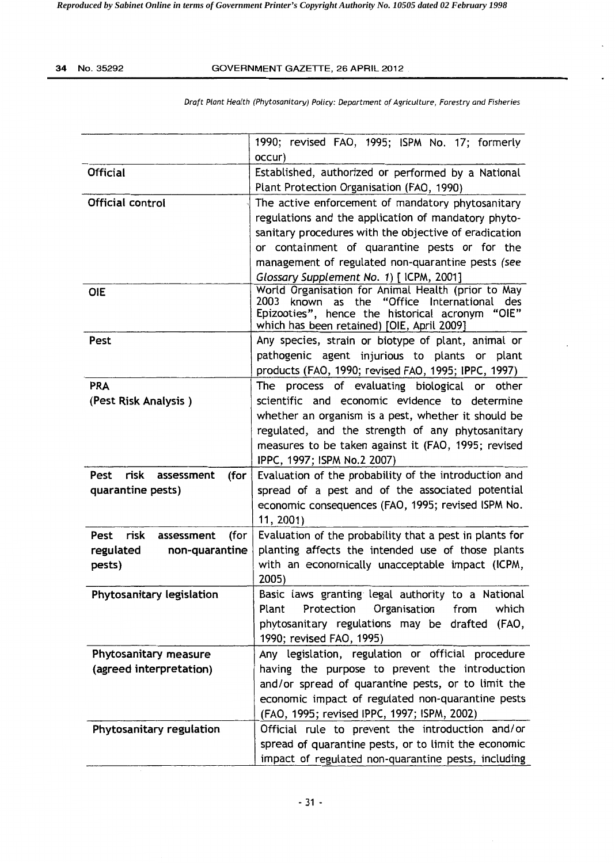| 1990; revised FAO, 1995; ISPM No. 17; formerly                                                       |
|------------------------------------------------------------------------------------------------------|
| occur)                                                                                               |
| Established, authorized or performed by a National                                                   |
| Plant Protection Organisation (FAO, 1990)                                                            |
| The active enforcement of mandatory phytosanitary                                                    |
| regulations and the application of mandatory phyto-                                                  |
| sanitary procedures with the objective of eradication                                                |
| or containment of quarantine pests or for the                                                        |
| management of regulated non-quarantine pests (see                                                    |
| Glossary Supplement No. 1) [ICPM, 2001]                                                              |
| World Organisation for Animal Health (prior to May                                                   |
| "Office International des<br>2003 known<br>as the<br>Epizooties", hence the historical acronym "OIE" |
| which has been retained) [OIE, April 2009]                                                           |
| Any species, strain or biotype of plant, animal or                                                   |
| pathogenic agent injurious to plants or plant                                                        |
| products (FAO, 1990; revised FAO, 1995; IPPC, 1997)                                                  |
| The process of evaluating biological or other                                                        |
| scientific and economic evidence to determine                                                        |
| whether an organism is a pest, whether it should be                                                  |
| regulated, and the strength of any phytosanitary                                                     |
| measures to be taken against it (FAO, 1995; revised                                                  |
| IPPC, 1997; ISPM No.2 2007)                                                                          |
| Evaluation of the probability of the introduction and                                                |
| spread of a pest and of the associated potential                                                     |
| economic consequences (FAO, 1995; revised ISPM No.                                                   |
| 11, 2001)                                                                                            |
| Evaluation of the probability that a pest in plants for                                              |
| planting affects the intended use of those plants                                                    |
| with an economically unacceptable impact (ICPM,                                                      |
| 2005)                                                                                                |
| Basic laws granting legal authority to a National                                                    |
| Organisation<br>which<br>Plant<br>Protection<br>from                                                 |
| phytosanitary regulations may be drafted (FAO,                                                       |
| 1990; revised FAO, 1995)<br>Any legislation, regulation or official procedure                        |
| having the purpose to prevent the introduction                                                       |
| and/or spread of quarantine pests, or to limit the                                                   |
| economic impact of regulated non-quarantine pests                                                    |
| (FAO, 1995; revised IPPC, 1997; ISPM, 2002)                                                          |
| Official rule to prevent the introduction and/or                                                     |
| spread of quarantine pests, or to limit the economic                                                 |
| impact of regulated non-quarantine pests, including                                                  |
|                                                                                                      |

Draft Plant Health (Phytosanitary) Policy: Department of Agriculture, Forestry and Fisheries

 $\ddot{\phantom{0}}$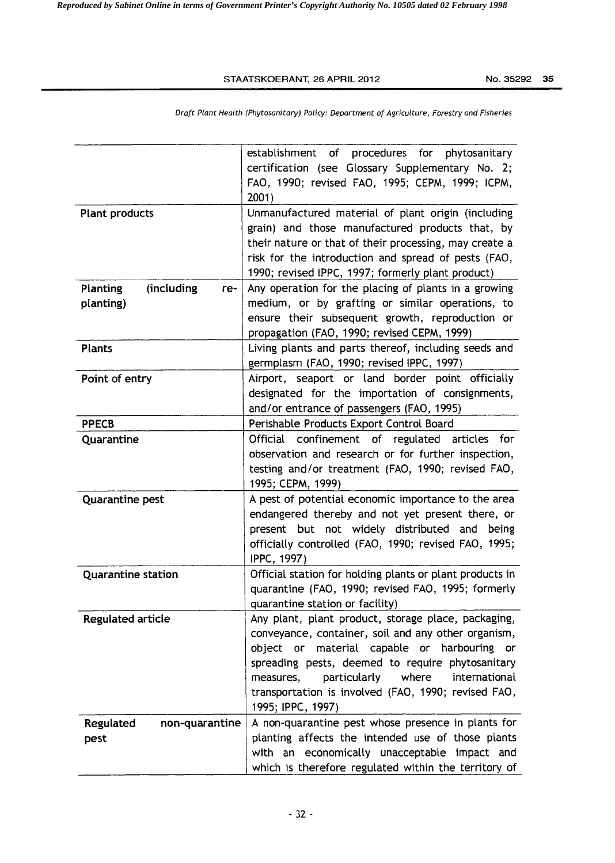# STAATSKOERANT, 26 APRIL 2012 No. 35292 35

|                                            | establishment<br>of procedures for phytosanitary<br>certification (see Glossary Supplementary No. 2;<br>FAO, 1990; revised FAO, 1995; CEPM, 1999; ICPM,<br>2001)                                                                                                                                                                                 |
|--------------------------------------------|--------------------------------------------------------------------------------------------------------------------------------------------------------------------------------------------------------------------------------------------------------------------------------------------------------------------------------------------------|
| <b>Plant products</b>                      | Unmanufactured material of plant origin (including<br>grain) and those manufactured products that, by<br>their nature or that of their processing, may create a<br>risk for the introduction and spread of pests (FAO,<br>1990; revised IPPC, 1997; formerly plant product)                                                                      |
| (including<br>Planting<br>re-<br>planting) | Any operation for the placing of plants in a growing<br>medium, or by grafting or similar operations, to<br>ensure their subsequent growth, reproduction or<br>propagation (FAO, 1990; revised CEPM, 1999)                                                                                                                                       |
| Plants                                     | Living plants and parts thereof, including seeds and<br>germplasm (FAO, 1990; revised IPPC, 1997)                                                                                                                                                                                                                                                |
| Point of entry                             | Airport, seaport or land border point officially<br>designated for the importation of consignments,<br>and/or entrance of passengers (FAO, 1995)                                                                                                                                                                                                 |
| <b>PPECB</b>                               | Perishable Products Export Control Board                                                                                                                                                                                                                                                                                                         |
| Quarantine                                 | Official confinement of regulated articles for<br>observation and research or for further inspection,<br>testing and/or treatment (FAO, 1990; revised FAO,<br>1995; CEPM, 1999)                                                                                                                                                                  |
| Quarantine pest                            | A pest of potential economic importance to the area<br>endangered thereby and not yet present there, or<br>present but not widely distributed and being<br>officially controlled (FAO, 1990; revised FAO, 1995;<br>IPPC, 1997)                                                                                                                   |
| <b>Quarantine station</b>                  | Official station for holding plants or plant products in<br>quarantine (FAO, 1990; revised FAO, 1995; formerly<br>quarantine station or facility)                                                                                                                                                                                                |
| <b>Regulated article</b>                   | Any plant, plant product, storage place, packaging,<br>conveyance, container, soil and any other organism,<br>object or material capable or harbouring or<br>spreading pests, deemed to require phytosanitary<br>particularly<br>where<br>international<br>measures,<br>transportation is involved (FAO, 1990; revised FAO,<br>1995; IPPC, 1997) |
| non-quarantine<br>Regulated<br>pest        | A non-quarantine pest whose presence in plants for<br>planting affects the intended use of those plants<br>with an economically unacceptable impact and<br>which is therefore regulated within the territory of                                                                                                                                  |

Draft Plant Health (Phytosanitary) Policy: Department of Agriculture, Forestry and Fisheries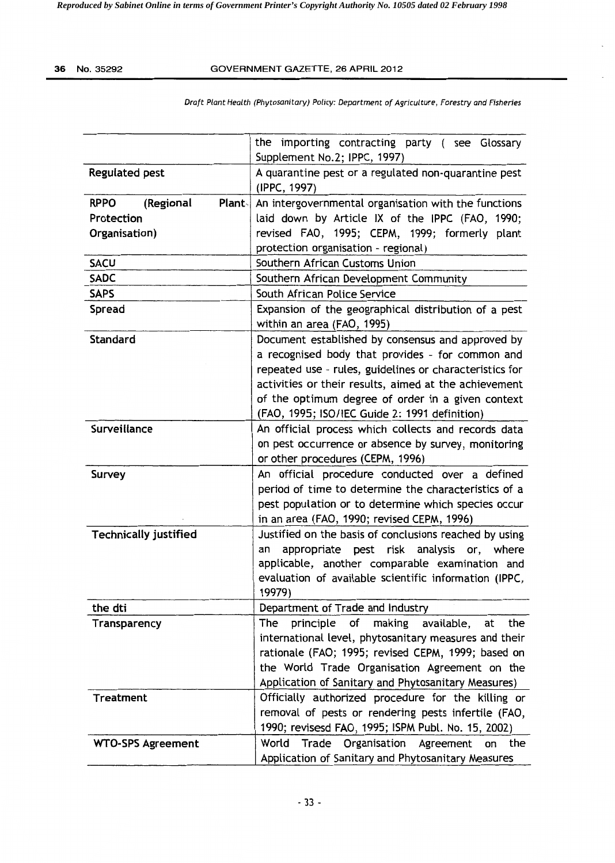|                                    | the importing contracting party (see Glossary<br>Supplement No.2; IPPC, 1997)                       |
|------------------------------------|-----------------------------------------------------------------------------------------------------|
| Regulated pest                     | A quarantine pest or a regulated non-quarantine pest<br>(IPPC, 1997)                                |
| <b>RPPO</b><br>(Regional<br>Plant- | An intergovernmental organisation with the functions                                                |
| Protection                         | laid down by Article IX of the IPPC (FAO, 1990;                                                     |
| Organisation)                      | revised FAO, 1995; CEPM, 1999; formerly plant                                                       |
|                                    | protection organisation - regional)                                                                 |
| SACU                               | Southern African Customs Union                                                                      |
| <b>SADC</b>                        | Southern African Development Community                                                              |
| <b>SAPS</b>                        | South African Police Service                                                                        |
| Spread                             | Expansion of the geographical distribution of a pest<br>within an area (FAO, 1995)                  |
| Standard                           | Document established by consensus and approved by                                                   |
|                                    | a recognised body that provides - for common and                                                    |
|                                    | repeated use - rules, guidelines or characteristics for                                             |
|                                    | activities or their results, aimed at the achievement                                               |
|                                    | of the optimum degree of order in a given context                                                   |
|                                    | (FAO, 1995; ISO/IEC Guide 2: 1991 definition)                                                       |
| Surveillance                       | An official process which collects and records data                                                 |
|                                    | on pest occurrence or absence by survey, monitoring                                                 |
|                                    | or other procedures (CEPM, 1996)                                                                    |
| Survey                             | An official procedure conducted over a defined                                                      |
|                                    | period of time to determine the characteristics of a                                                |
|                                    | pest population or to determine which species occur                                                 |
|                                    | in an area (FAO, 1990; revised CEPM, 1996)                                                          |
| <b>Technically justified</b>       | Justified on the basis of conclusions reached by using                                              |
|                                    | appropriate pest risk analysis<br>or, where<br>an<br>applicable, another comparable examination and |
|                                    | evaluation of available scientific information (IPPC,                                               |
|                                    | 19979)                                                                                              |
| the dti                            | Department of Trade and Industry                                                                    |
| Transparency                       | principle of making<br><b>The</b><br>available,<br>the<br>at                                        |
|                                    | international level, phytosanitary measures and their                                               |
|                                    | rationale (FAO; 1995; revised CEPM, 1999; based on                                                  |
|                                    | the World Trade Organisation Agreement on the                                                       |
|                                    | Application of Sanitary and Phytosanitary Measures)                                                 |
| <b>Treatment</b>                   | Officially authorized procedure for the killing or                                                  |
|                                    | removal of pests or rendering pests infertile (FAO,                                                 |
|                                    | 1990; revisesd FAO, 1995; ISPM Publ. No. 15, 2002)                                                  |
| WTO-SPS Agreement                  | World<br>Trade<br>Organisation<br>Agreement<br>the<br>on                                            |
|                                    | Application of Sanitary and Phytosanitary Measures                                                  |

#### Draft Plant Health (Phytosanitary) Policy: Department of Agriculture, Forestry and Fisheries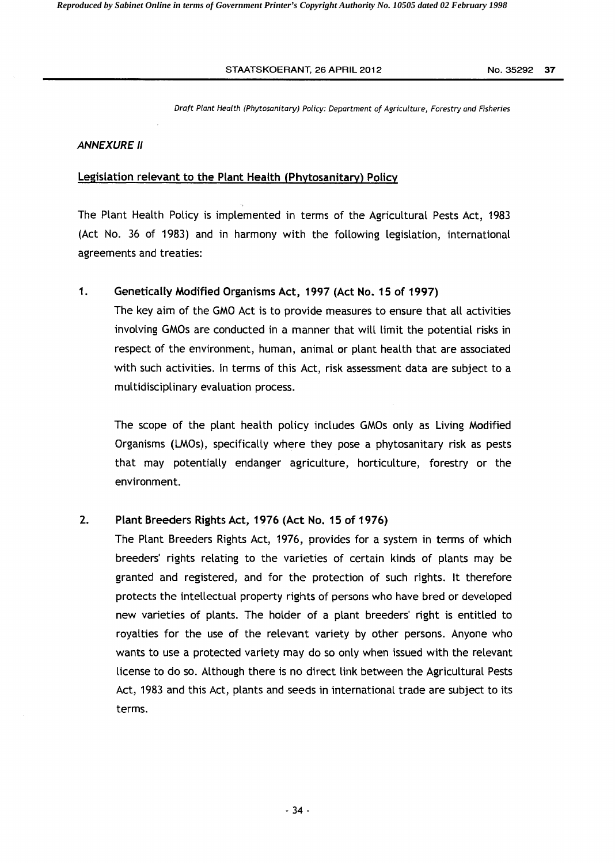#### STAATSKOERANT, 26 APRIL 2012 No.35292 **37**

Draft Plant Health (Phytosanitary) Policy: Department of Agriculture, Forestry and Fisheries

#### **ANNEXURE** II

#### **Legislation relevant to the Plant Health (Phytosanitary) Policy**

The Plant Health Policy is implemented in terms of the Agricultural Pests Act, 1983 (Act No. 36 of 1983) and in harmony with the following legislation, international agreements and treaties:

#### **1. Genetically Modified Organisms Act, 1997 (Act No. 15 of 1997)**

The key aim of the GMO Act is to provide measures to ensure that all activities involving GMOs are conducted in a manner that will limit the potential risks in respect of the environment, human, animal or plant health that are associated with such activities. In terms of this Act, risk assessment data are subject to a multidisciplinary evaluation process.

The scope of the plant health policy includes GMOs only as Living Modified Organisms (LMOs), specifically where they pose a phytosanitary risk as pests that may potentially endanger agriculture, horticulture, forestry or the environment.

# **2. Plant Breeders Rights Act, 1976 (Act No. 15 of 1976)**

The Plant Breeders Rights Act, 1976, provides for a system in terms of which breeders' rights relating to the varieties of certain kinds of plants may be granted and registered, and for the protection of such rights. It therefore protects the intellectual property rights of persons who have bred or developed new varieties of plants. The holder of a plant breeders' right is entitled to royalties for the use of the relevant variety by other persons. Anyone who wants to use a protected variety may do so only when issued with the relevant license to do so. Although there is no direct link between the Agricultural Pests Act, 1983 and this Act, plants and seeds in international trade are subject to its terms.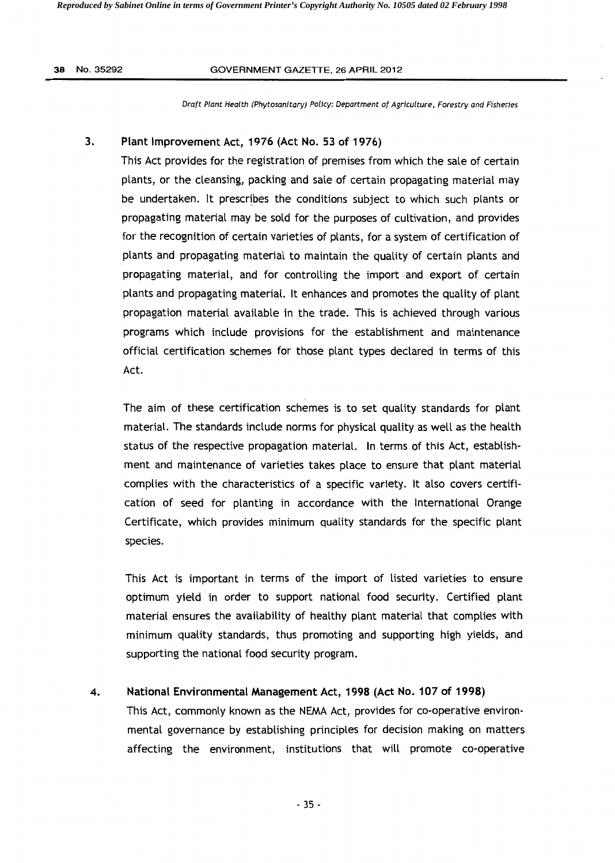Draft Plant Health (Phytosanitary) Policy: Department of Agriculture, Forestry and Fisheries

# 3. Plant Improvement Act, 1976 (Act No. 53 of 1976)

This Act provides for the registration of premises from which the sale of certain plants, or the cleansing, packing and sale of certain propagating material may be undertaken. It prescribes the conditions subject to which such plants or propagating material may be sold for the purposes of cultivation, and provides for the recognition of certain varieties of plants, for a system of certification of plants and propagating material to maintain the quality of certain plants and propagating material, and for controlling the import and export of certain plants and propagating material. It enhances and promotes the quality of plant propagation material available in the trade. This is achieved through various programs which include provisions for the establishment and maintenance official certification schemes for those plant types declared in terms of this Act.

The aim of these certification schemes is to set quality standards for plant material. The standards include norms for physical quality as well as the health status of the respective propagation material. In terms of this Act, establishment and maintenance of varieties takes place to ensure that plant material complies with the characteristics of a specific variety. It also covers certification of seed for planting in accordance with the International Orange Certificate, which provides minimum quality standards for the specific plant species.

This Act is important in terms of the import of listed varieties to ensure optimum yield in order to support national food security. Certified plant material ensures the availability of healthy plant material that complies with minimum quality standards, thus promoting and supporting high yields, and supporting the national food security program.

# 4. National Environmental Management Act, 1998 (Act No. 107 of 1998)

This Act, commonly known as the NEMA Act, provides for co-operative environmental governance by establishing principles for decision making on matters affecting the environment, institutions that will promote co-operative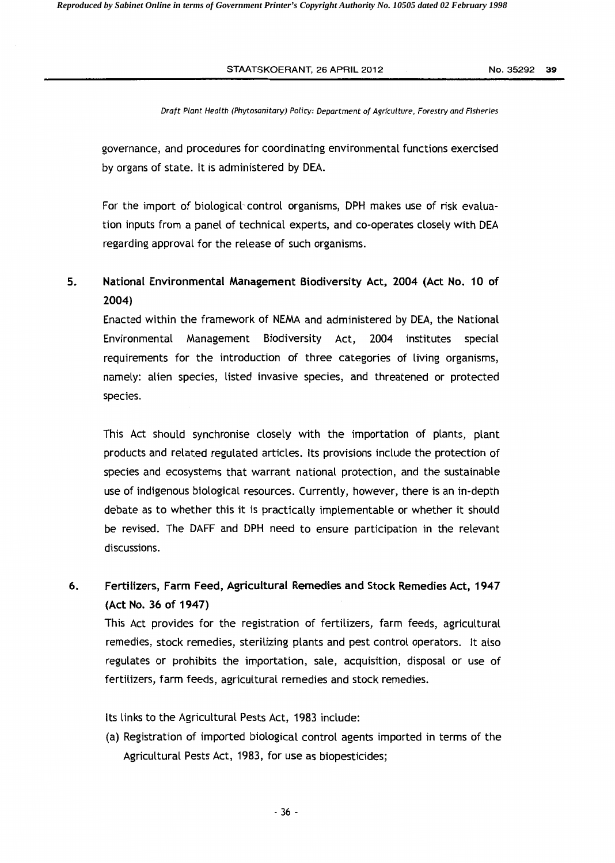Draft Plant Health (Phytosanitary) Policy: Department of Agriculture, Forestry and Fisheries

governance, and procedures for coordinating environmental functions exercised by organs of state. It is administered by DEA.

For the import of biological control organisms, DPH makes use of risk evaluation inputs from a panel of technical experts, and co-operates closely with DEA regarding approval for the release of such organisms.

5. National Environmental Management Biodiversity Act, 2004 (Act No. 10 of 2004)

Enacted within the framework of NEMA and administered by DEA, the National Environmental Management Biodiversity Act, 2004 institutes special requirements for the introduction of three categories of living organisms, namely: alien species, listed invasive species, and threatened or protected species.

This Act should synchronise closely with the importation of plants, plant products and related regulated articles. Its provisions include the protection of species and ecosystems that warrant national protection, and the sustainable use of indigenous biological resources. Currently, however, there is an in-depth debate as to whether this it is practically implementable or whether it should be revised. The DAFF and DPH need to ensure participation in the relevant discussions.

6. Fertilizers, Farm Feed, Agricultural Remedies and Stock Remedies Act, 1947 (Act No. 36 of 1947)

This Act provides for the registration of fertilizers, farm feeds, agricultural remedies, stock remedies, sterilizing plants and pest control operators. It also regulates or prohibits the importation, sale, acquisition, disposal or use of fertilizers, farm feeds, agricultural remedies and stock remedies.

- Its links to the Agricultural Pests Act, 1983 include:
- (a) Registration of imported biological control agents imported in terms of the Agricultural Pests Act, 1983, for use as biopesticides;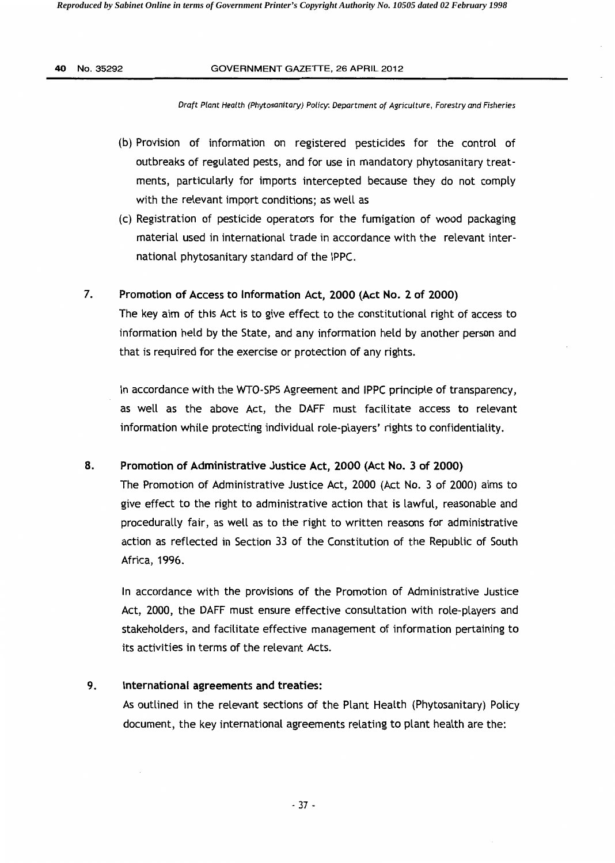Draft Plant Health (Phytosanitary) Policy: Department of Agriculture, Forestry and Fisheries

- (b) Provision of information on registered pesticides for the control of outbreaks of regulated pests, and for use in mandatory phytosanitary treatments, particularly for imports intercepted because they do not comply with the relevant import conditions; as well as
- (c) Registration of pesticide operators for the fumigation of wood packaging material used in international trade in accordance with the relevant international phytosanitary standard of the IPPC.

# 7. Promotion of Access to Information Act, 2000 (Act No. 2 of 2000)

The key aim of this Act is to give effect to the constitutional right of access to information held by the State, and any information held by another person and that is required for the exercise or protection of any rights.

In accordance with the WTO-SPS Agreement and IPPC principle of transparency, as well as the above Act, the DAFF must facilitate access to relevant information while protecting individual role-players' rights to confidentiality.

# 8. Promotion of Administrative Justice Act, 2000 (Act No. 3 of 2000)

The Promotion of Administrative Justice Act, 2000 (Act No. 3 of 2000) aims to give effect to the right to administrative action that is lawful, reasonable and procedurally fair, as well as to the right to written reasons for administrative action as reflected in Section 33 of the Constitution of the Republic of South Africa, 1996.

In accordance with the provisions of the Promotion of Administrative Justice Act, 2000, the DAFF must ensure effective consultation with role-players and stakeholders, and facilitate effective management of information pertaining to its activities in terms of the relevant Acts.

# 9. International agreements and treaties:

As outlined in the relevant sections of the Plant Health (Phytosanitary) Policy document, the key international agreements relating to plant health are the: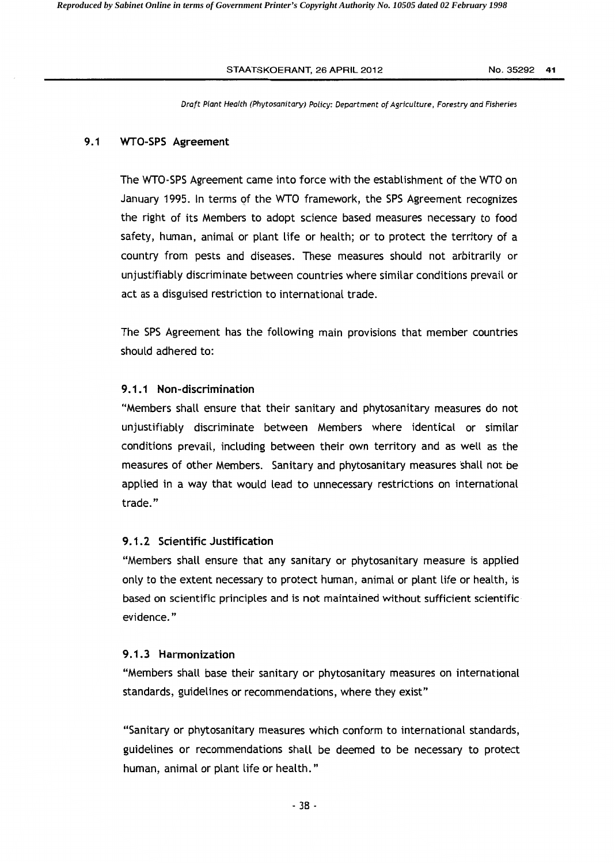STAATSKOERANT, 26 APRIL 2012 No. 35292 **41** 

Draft Plant Health (Phytosanitary) Policy: Department of Agriculture, Forestry and Fisheries

# **9. 1 WTO-SPS Agreement**

The WTO-SPS Agreement came into force with the establishment of the WTO on January 1995. In terms qf the WTO framework, the SPS Agreement recognizes the right of its Members to adopt science based measures necessary to food safety, human, animal or plant life or health; or to protect the territory of a country from pests and diseases. These measures should not arbitrarily or unjustifiably discriminate between countries where similar conditions prevail or act as a disguised restriction to international trade.

The SPS Agreement has the following main provisions that member countries should adhered to:

#### **9. 1. 1 Non-discrimination**

"Members shall ensure that their sanitary and phytosanitary measures do not unjustifiably discriminate between Members where identical or similar conditions prevail, including between their own territory and as well as the measures of other Members. Sanitary and phytosanitary measures shall not be applied in a way that would lead to unnecessary restrictions on international trade."

#### **9.1.2 Scientific Justification**

"Members shall ensure that any sanitary or phytosanitary measure is applied only to the extent necessary to protect human, animal or plant life or health, is based on scientific principles and is not maintained without sufficient scientific evidence. "

#### **9.1.3 Harmonization**

"Members shall base their sanitary or phytosanitary measures on international standards, guidelines or recommendations, where they exist"

"Sanitary or phytosanitary measures which conform to international standards, guidelines or recommendations shall be deemed to be necessary to protect human, animal or plant life or health."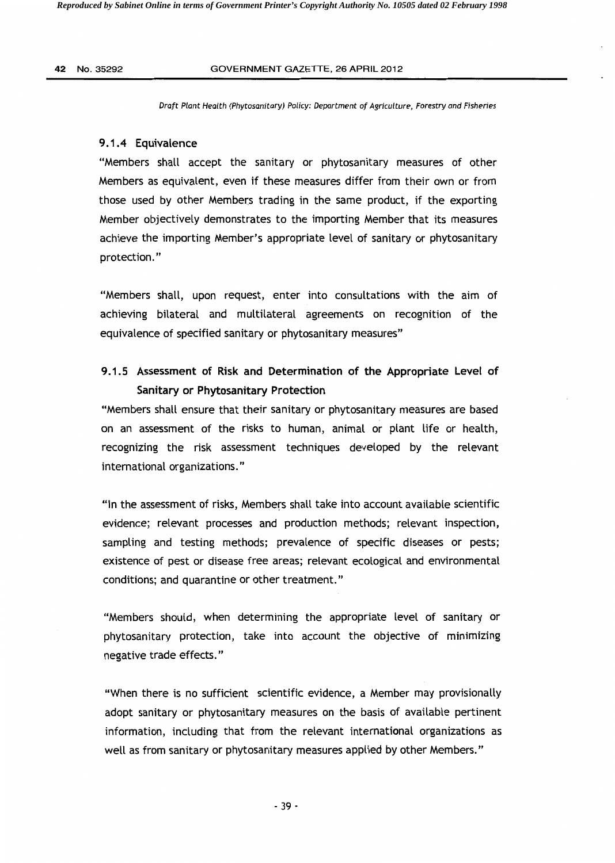Draft Plant Health (Phytosanitary) Policy: Department of Agriculture, Forestry and Fisheries

## **9. 1 .4 Equivalence**

"Members shall accept the sanitary or phytosanitary measures of other Members as equivalent, even if these measures differ from their own or from those used by other Members trading in the same product, if the exporting Member objectively demonstrates to the importing Member that its measures achieve the importing Member's appropriate level of sanitary or phytosanitary protection."

"Members shall, upon request, enter into consultations with the aim of achieving bilateral and multilateral agreements on recognition of the equivalence of specified sanitary or phytosanitary measures"

# **9.1.5 Assessment of Risk and Determination of the Appropriate Level of Sanitary or Phytosanitary Protection**

"Members shall ensure that their sanitary or phytosanitary measures are based on an assessment of the risks to human, animal or plant life or health, recognizing the risk assessment techniques developed by the relevant international organizations."

"In the assessment of risks, Members shall take into account available scientific evidence; relevant processes and production methods; relevant inspection, sampling and testing methods; prevalence of specific diseases or pests; existence of pest or disease free areas; relevant ecological and environmental conditions; and quarantine or other treatment."

"Members should, when determining the appropriate level of sanitary or phytosanitary protection, take into account the objective of minimizing negative trade effects."

"When there is no sufficient scientific evidence, a Member may provisionally adopt sanitary or phytosanitary measures on the basis of available pertinent information, including that from the relevant international organizations as well as from sanitary or phytosanitary measures applied by other Members."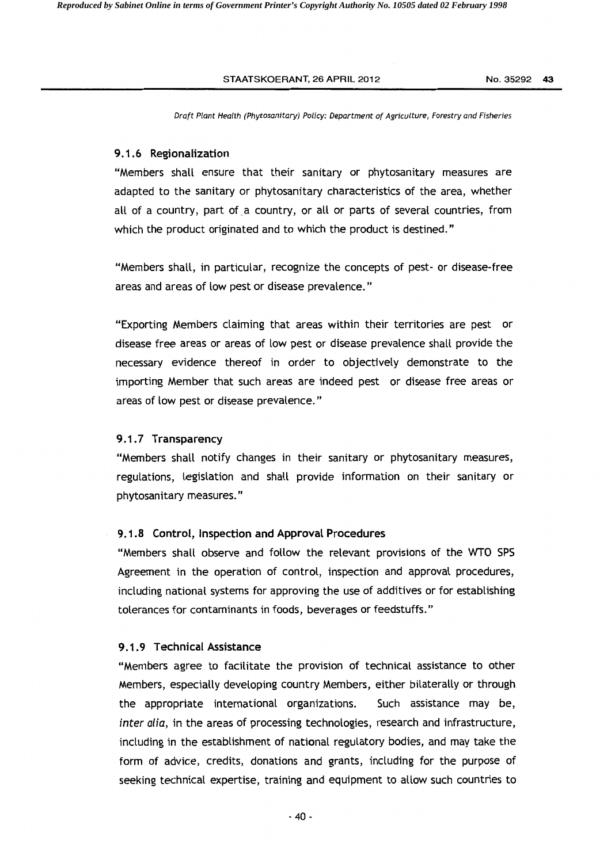#### STAATSKOERANT, 26 APRIL 2012 No. 35292 43

Draft Plant Health (Phytosanitary) Policy: Department of Agriculture, Forestry and Fisheries

#### 9.1.6 Regionalization

"Members shall ensure that their sanitary or phytosanitary measures are adapted to the sanitary or phytosanitary characteristics of the area, whether all of a country, part of a country, or all or parts of several countries, from which the product originated and to which the product is destined."

"Members shall, in particular, recognize the concepts of pest- or disease-free areas and areas of low pest or disease prevalence."

"Exporting Members claiming that areas within their territories are pest or disease free areas or areas of low pest or disease prevalence shall provide the necessary evidence thereof in order to objectively demonstrate to the importing Member that such areas are indeed pest or disease free areas or areas of low pest or disease prevalence."

#### 9.1.7 Transparency

"Members shall notify changes in their sanitary or phytosanitary measures, regulations, Legislation and shall provide information on their sanitary or phytosanitary measures."

#### 9.1.8 Control, Inspection and Approval Procedures

"Members shall observe and follow the relevant provisions of the WTO SPS Agreement in the operation of control, inspection and approval procedures, including national systems for approving the use of additives or for establishing tolerances for contaminants in foods, beverages or feedstuffs."

#### 9.1.9 Technical Assistance

"Members agree to facilitate the provision of technical assistance to other Members, especially developing country Members, either bilaterally or through the appropriate international organizations. Such assistance may be, *inter alia,* in the areas of processing technologies, research and infrastructure, including in the establishment of national regulatory bodies, and may take the form of advice, credits, donations and grants, including for the purpose of seeking technical expertise, training and equipment to allow such countries to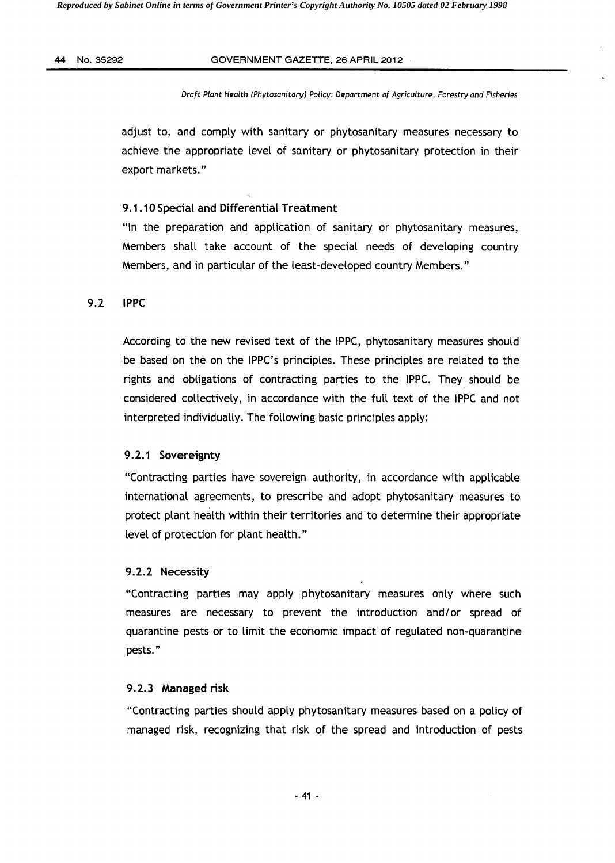Draft Plant Health (Phytosanitary) Policy: Department of Agriculture, Forestry and Fisheries

adjust to, and comply with sanitary or phytosanitary measures necessary to achieve the appropriate level of sanitary or phytosanitary protection in their export markets."

# 9.1.10 Special and Differential Treatment

"In the preparation and application of sanitary or phytosanitary measures, Members shall take account of the special needs of developing country Members, and in particular of the least-developed country Members."

#### 9.2 IPPC

According to the new revised text of the IPPC, phytosanitary measures should be based on the on the IPPC's principles. These principles are related to the rights and obligations of contracting parties to the IPPC. They should be considered collectively, in accordance with the full text of the IPPC and not interpreted individually. The following basic principles apply:

#### 9.2.1 Sovereignty

"Contracting parties have sovereign authority, in accordance with applicable international agreements, to prescribe and adopt phytosanitary measures to protect plant health within their territories and to determine their appropriate level of protection for plant health."

#### 9.2.2 Necessity

"Contracting parties may apply phytosanitary measures only where such measures are necessary to prevent the introduction and/or spread of quarantine pests or to limit the economic impact of regulated non-quarantine pests."

#### 9.2.3 Managed risk

"Contracting parties should apply phytosanitary measures based on a policy of managed risk, recognizing that risk of the spread and introduction of pests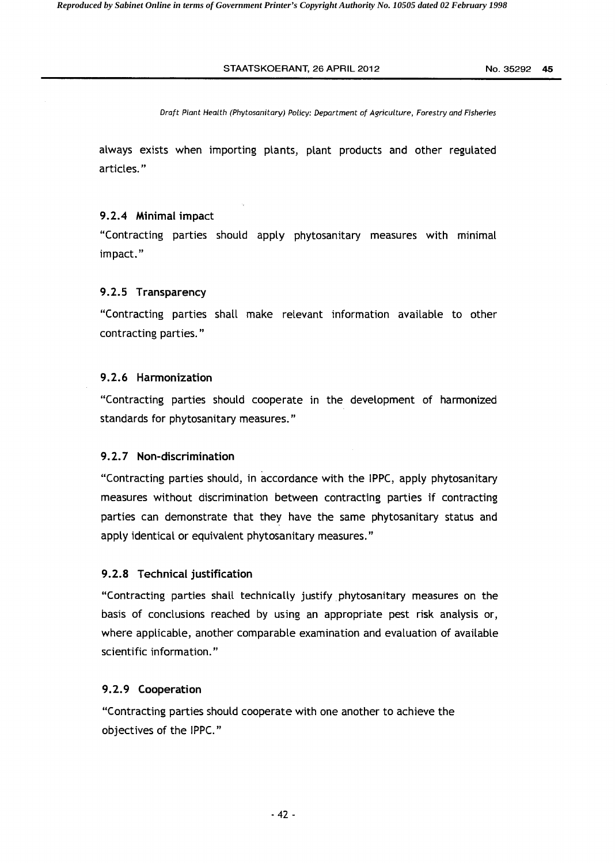#### STAATSKOERANT, 26 APRIL 2012 No.35292 **45**

Draft Plant Health (Phytosanitary) Policy: Department of Agriculture, Forestry and Fisheries

always exists when importing plants, plant products and other regulated articles."

#### **9.2.4 Minimal impact**

"Contracting parties should apply phytosanitary measures with minimal impact."

#### **9.2.5 Transparency**

"Contracting parties shall make relevant information available to other contracting parties."

#### **9.2.6 Harmonization**

"Contracting parties should cooperate in the development of harmonized standards for phytosanitary measures."

### **9.2. 7 Non-discrimination**

"Contracting parties should, in accordance with the IPPC, apply phytosanitary measures without discrimination between contracting parties if contracting parties can demonstrate that they have the same phytosanitary status and apply identical or equivalent phytosanitary measures."

# **9.2.8 Technical justification**

"Contracting parties shall technically justify phytosanitary measures on the basis of conclusions reached by using an appropriate pest risk analysis or, where applicable, another comparable examination and evaluation of available scientific information."

#### **9.2.9 Cooperation**

"Contracting parties should cooperate with one another to achieve the objectives of the IPPC."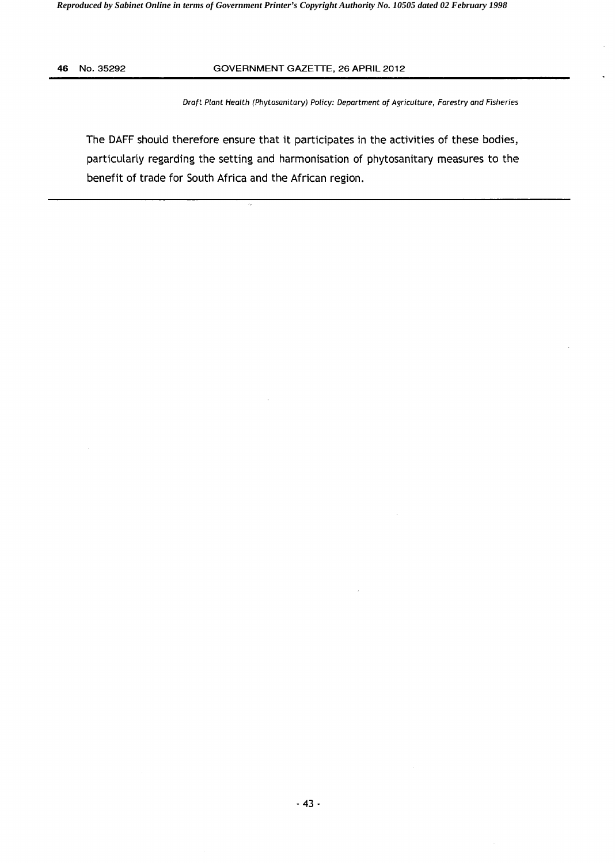Draft Plant Health (Phytosanitary) Policy: Department of Agriculture, Forestry and Fisheries

The DAFF should therefore ensure that it participates in the activities of these bodies, particularly regarding the setting and harmonisation of phytosanitary measures to the benefit of trade for South Africa and the African region.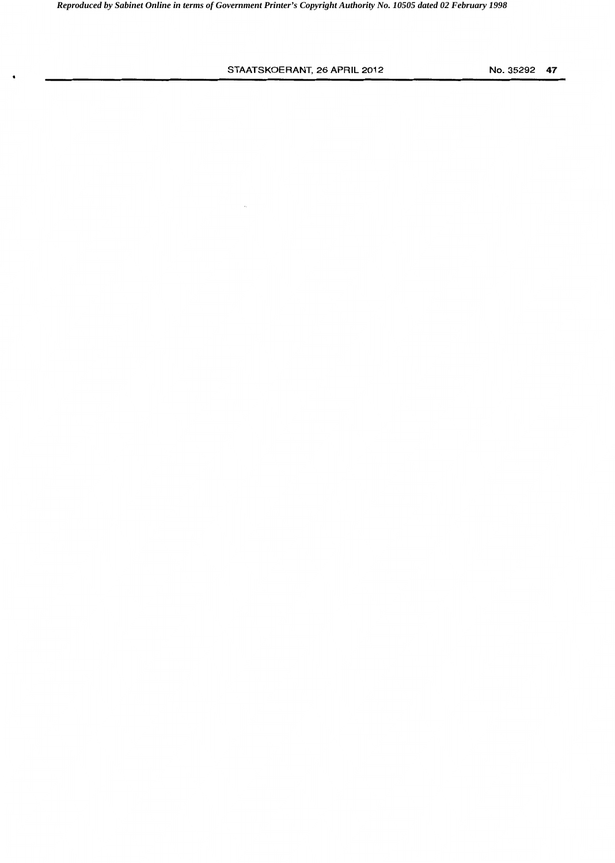$\epsilon_{\rm b}$ 

 $\bullet$ 

STAATSKOERANT, 26 APRIL 2012 12 No. 35292 47